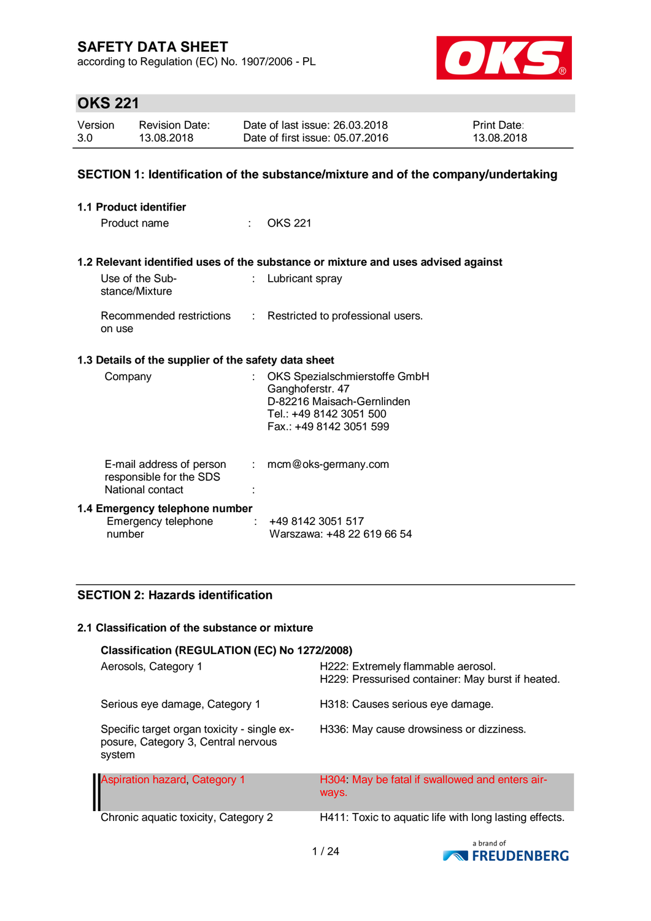according to Regulation (EC) No. 1907/2006 - PL



# **OKS 221**

| Version | <b>Revision Date:</b> | Date of last issue: 26.03.2018  | <b>Print Date:</b> |
|---------|-----------------------|---------------------------------|--------------------|
| 3.0     | 13.08.2018            | Date of first issue: 05.07.2016 | 13.08.2018         |

### **SECTION 1: Identification of the substance/mixture and of the company/undertaking**

| <b>1.1 Product identifier</b>                                           |                           |                                                                                                                                      |
|-------------------------------------------------------------------------|---------------------------|--------------------------------------------------------------------------------------------------------------------------------------|
| Product name                                                            | tion.                     | <b>OKS 221</b>                                                                                                                       |
|                                                                         |                           |                                                                                                                                      |
|                                                                         |                           | 1.2 Relevant identified uses of the substance or mixture and uses advised against                                                    |
| Use of the Sub-<br>stance/Mixture                                       |                           | Lubricant spray                                                                                                                      |
| Recommended restrictions<br>on use                                      | $\mathbb{R}^n$            | Restricted to professional users.                                                                                                    |
| 1.3 Details of the supplier of the safety data sheet                    |                           |                                                                                                                                      |
| Company                                                                 | $\mathbb{R}^{\mathbb{Z}}$ | OKS Spezialschmierstoffe GmbH<br>Ganghoferstr. 47<br>D-82216 Maisach-Gernlinden<br>Tel.: +49 8142 3051 500<br>Fax: +49 8142 3051 599 |
| E-mail address of person<br>responsible for the SDS<br>National contact | $\mathbb{Z}^{\times}$ .   | mcm@oks-germany.com                                                                                                                  |
| 1.4 Emergency telephone number<br>Emergency telephone<br>number         | ÷.                        | +49 8142 3051 517<br>Warszawa: +48 22 619 66 54                                                                                      |

### **SECTION 2: Hazards identification**

#### **2.1 Classification of the substance or mixture**

| Classification (REGULATION (EC) No 1272/2008)                                                |                                                                                         |  |  |  |  |
|----------------------------------------------------------------------------------------------|-----------------------------------------------------------------------------------------|--|--|--|--|
| Aerosols, Category 1                                                                         | H222: Extremely flammable aerosol.<br>H229: Pressurised container: May burst if heated. |  |  |  |  |
| Serious eye damage, Category 1                                                               | H318: Causes serious eye damage.                                                        |  |  |  |  |
| Specific target organ toxicity - single ex-<br>posure, Category 3, Central nervous<br>system | H336: May cause drowsiness or dizziness.                                                |  |  |  |  |
| <b>Aspiration hazard, Category 1</b>                                                         | H304 May be fatal if swallowed and enters air-<br>ways.                                 |  |  |  |  |
| Chronic aquatic toxicity, Category 2                                                         | H411: Toxic to aquatic life with long lasting effects.                                  |  |  |  |  |

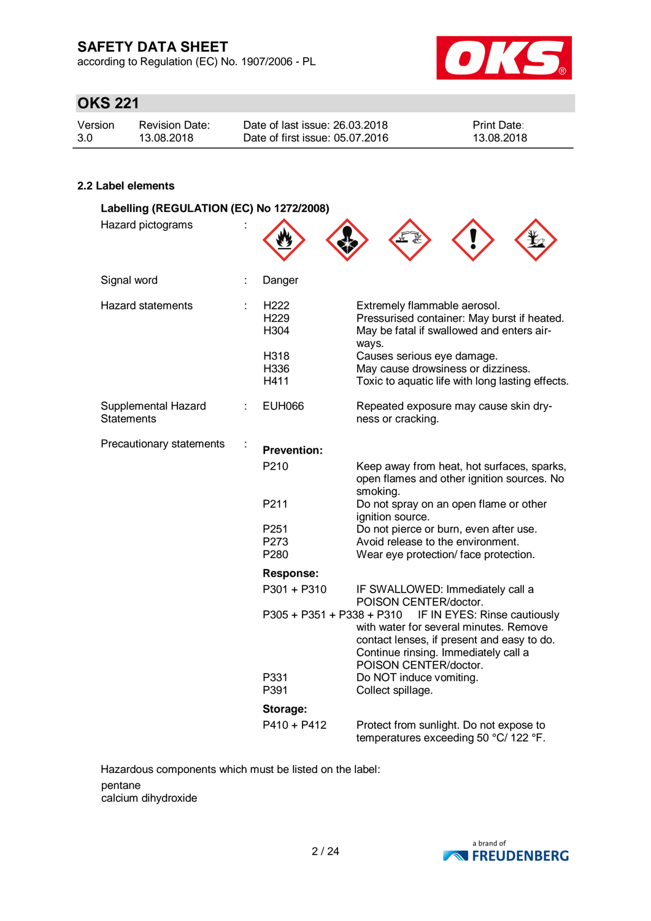according to Regulation (EC) No. 1907/2006 - PL



# **OKS 221**

| Version | <b>Revision Date:</b> | Date of last issue: 26.03.2018  | <b>Print Date:</b> |
|---------|-----------------------|---------------------------------|--------------------|
| 3.0     | 13.08.2018            | Date of first issue: 05.07.2016 | 13.08.2018         |

#### **2.2 Label elements**

| Labelling (REGULATION (EC) No 1272/2008) |   |                                              |                                                                                                                                                                                       |  |  |
|------------------------------------------|---|----------------------------------------------|---------------------------------------------------------------------------------------------------------------------------------------------------------------------------------------|--|--|
| Hazard pictograms                        |   |                                              |                                                                                                                                                                                       |  |  |
| Signal word                              |   | Danger                                       |                                                                                                                                                                                       |  |  |
| Hazard statements                        |   | H <sub>222</sub><br>H <sub>229</sub><br>H304 | Extremely flammable aerosol.<br>Pressurised container: May burst if heated.<br>May be fatal if swallowed and enters air-<br>ways.                                                     |  |  |
|                                          |   | H318<br>H336<br>H411                         | Causes serious eye damage.<br>May cause drowsiness or dizziness.<br>Toxic to aquatic life with long lasting effects.                                                                  |  |  |
| Supplemental Hazard<br><b>Statements</b> | ÷ | <b>EUH066</b>                                | Repeated exposure may cause skin dry-<br>ness or cracking.                                                                                                                            |  |  |
| Precautionary statements                 |   | <b>Prevention:</b>                           |                                                                                                                                                                                       |  |  |
|                                          |   | P <sub>210</sub>                             | Keep away from heat, hot surfaces, sparks,<br>open flames and other ignition sources. No<br>smoking.                                                                                  |  |  |
|                                          |   | P211                                         | Do not spray on an open flame or other<br>ignition source.                                                                                                                            |  |  |
|                                          |   | P251                                         | Do not pierce or burn, even after use.                                                                                                                                                |  |  |
|                                          |   | P273                                         | Avoid release to the environment.                                                                                                                                                     |  |  |
|                                          |   | P280                                         | Wear eye protection/ face protection.                                                                                                                                                 |  |  |
|                                          |   | <b>Response:</b>                             |                                                                                                                                                                                       |  |  |
|                                          |   | P301 + P310                                  | IF SWALLOWED: Immediately call a<br>POISON CENTER/doctor.                                                                                                                             |  |  |
|                                          |   | P305 + P351 + P338 + P310                    | IF IN EYES: Rinse cautiously<br>with water for several minutes. Remove<br>contact lenses, if present and easy to do.<br>Continue rinsing. Immediately call a<br>POISON CENTER/doctor. |  |  |
|                                          |   | P331<br>P391                                 | Do NOT induce vomiting.<br>Collect spillage.                                                                                                                                          |  |  |
|                                          |   | Storage:                                     |                                                                                                                                                                                       |  |  |
|                                          |   | $P410 + P412$                                | Protect from sunlight. Do not expose to<br>temperatures exceeding 50 °C/ 122 °F.                                                                                                      |  |  |

Hazardous components which must be listed on the label: pentane calcium dihydroxide

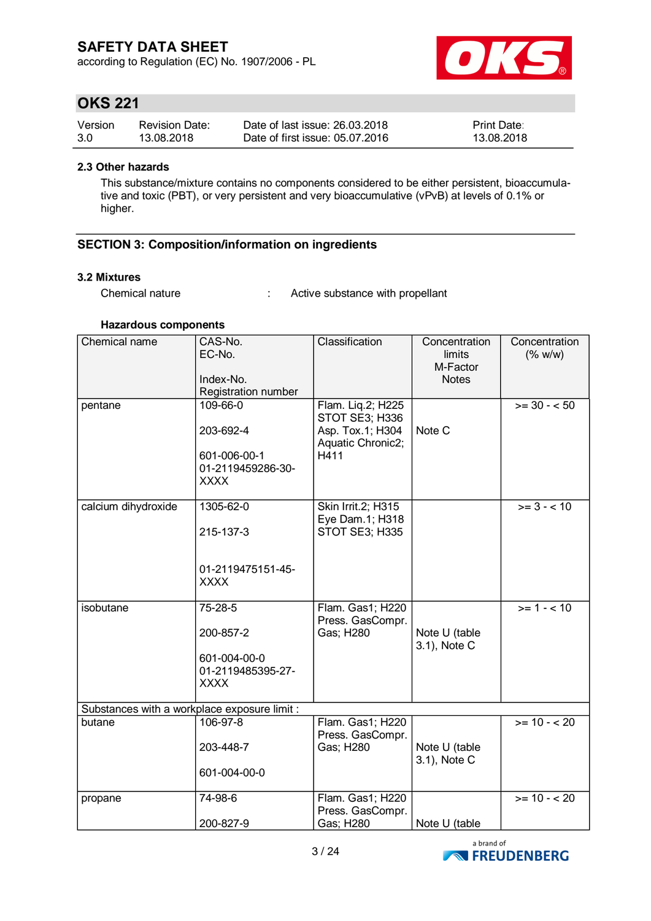according to Regulation (EC) No. 1907/2006 - PL



# **OKS 221**

| Version | <b>Revision Date:</b> | Date of last issue: 26.03.2018  | <b>Print Date:</b> |
|---------|-----------------------|---------------------------------|--------------------|
| 3.0     | 13.08.2018            | Date of first issue: 05.07.2016 | 13.08.2018         |

#### **2.3 Other hazards**

This substance/mixture contains no components considered to be either persistent, bioaccumulative and toxic (PBT), or very persistent and very bioaccumulative (vPvB) at levels of 0.1% or higher.

#### **SECTION 3: Composition/information on ingredients**

#### **3.2 Mixtures**

Chemical nature : Active substance with propellant

#### **Hazardous components**

| Chemical name                                | CAS-No.<br>EC-No.<br>Index-No.<br>Registration number                     | Classification                                                                       | Concentration<br>limits<br>M-Factor<br><b>Notes</b> | Concentration<br>(% w/w) |
|----------------------------------------------|---------------------------------------------------------------------------|--------------------------------------------------------------------------------------|-----------------------------------------------------|--------------------------|
| pentane                                      | 109-66-0<br>203-692-4<br>601-006-00-1<br>01-2119459286-30-<br><b>XXXX</b> | Flam. Liq.2; H225<br>STOT SE3; H336<br>Asp. Tox.1; H304<br>Aquatic Chronic2;<br>H411 | Note C                                              | $>= 30 - 50$             |
| calcium dihydroxide                          | 1305-62-0<br>215-137-3<br>01-2119475151-45-<br><b>XXXX</b>                | Skin Irrit.2; H315<br>Eye Dam.1; H318<br>STOT SE3; H335                              |                                                     | $>= 3 - 10$              |
| isobutane                                    | 75-28-5<br>200-857-2<br>601-004-00-0<br>01-2119485395-27-<br><b>XXXX</b>  | Flam. Gas1; H220<br>Press. GasCompr.<br>Gas; H280                                    | Note U (table<br>3.1), Note C                       | $>= 1 - 10$              |
| Substances with a workplace exposure limit : |                                                                           |                                                                                      |                                                     |                          |
| butane                                       | 106-97-8<br>203-448-7<br>601-004-00-0                                     | Flam. Gas1; H220<br>Press. GasCompr.<br>Gas; H280                                    | Note U (table<br>3.1), Note C                       | $>= 10 - 20$             |
| propane                                      | 74-98-6<br>200-827-9                                                      | Flam. Gas1; H220<br>Press. GasCompr.<br>Gas; H280                                    | Note U (table                                       | $>= 10 - 20$             |

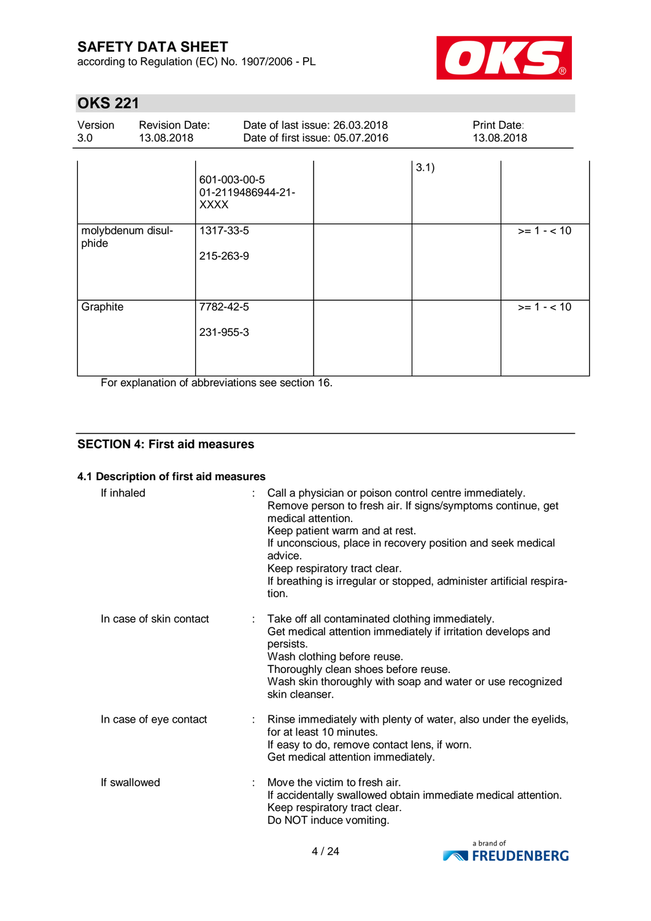according to Regulation (EC) No. 1907/2006 - PL



# **OKS 221**

| Version<br>3.0 | <b>Revision Date:</b><br>13.08.2018 |                                                  | Date of last issue: 26.03.2018<br>Date of first issue: 05.07.2016 |      | <b>Print Date:</b><br>13.08.2018 |  |
|----------------|-------------------------------------|--------------------------------------------------|-------------------------------------------------------------------|------|----------------------------------|--|
|                |                                     | 601-003-00-5<br>01-2119486944-21-<br><b>XXXX</b> |                                                                   | 3.1) |                                  |  |
| phide          | molybdenum disul-                   | 1317-33-5<br>215-263-9                           |                                                                   |      | $>= 1 - 10$                      |  |
| Graphite       |                                     | 7782-42-5<br>231-955-3                           |                                                                   |      | $>= 1 - 10$                      |  |

For explanation of abbreviations see section 16.

#### **SECTION 4: First aid measures**

#### **4.1 Description of first aid measures**

| If inhaled              | Call a physician or poison control centre immediately.<br>Remove person to fresh air. If signs/symptoms continue, get<br>medical attention.<br>Keep patient warm and at rest.<br>If unconscious, place in recovery position and seek medical<br>advice.<br>Keep respiratory tract clear.<br>If breathing is irregular or stopped, administer artificial respira-<br>tion. |
|-------------------------|---------------------------------------------------------------------------------------------------------------------------------------------------------------------------------------------------------------------------------------------------------------------------------------------------------------------------------------------------------------------------|
| In case of skin contact | Take off all contaminated clothing immediately.<br>Get medical attention immediately if irritation develops and<br>persists.<br>Wash clothing before reuse.<br>Thoroughly clean shoes before reuse.<br>Wash skin thoroughly with soap and water or use recognized<br>skin cleanser.                                                                                       |
| In case of eye contact  | Rinse immediately with plenty of water, also under the eyelids,<br>for at least 10 minutes.<br>If easy to do, remove contact lens, if worn.<br>Get medical attention immediately.                                                                                                                                                                                         |
| If swallowed            | Move the victim to fresh air.<br>÷<br>If accidentally swallowed obtain immediate medical attention.<br>Keep respiratory tract clear.<br>Do NOT induce vomiting.                                                                                                                                                                                                           |

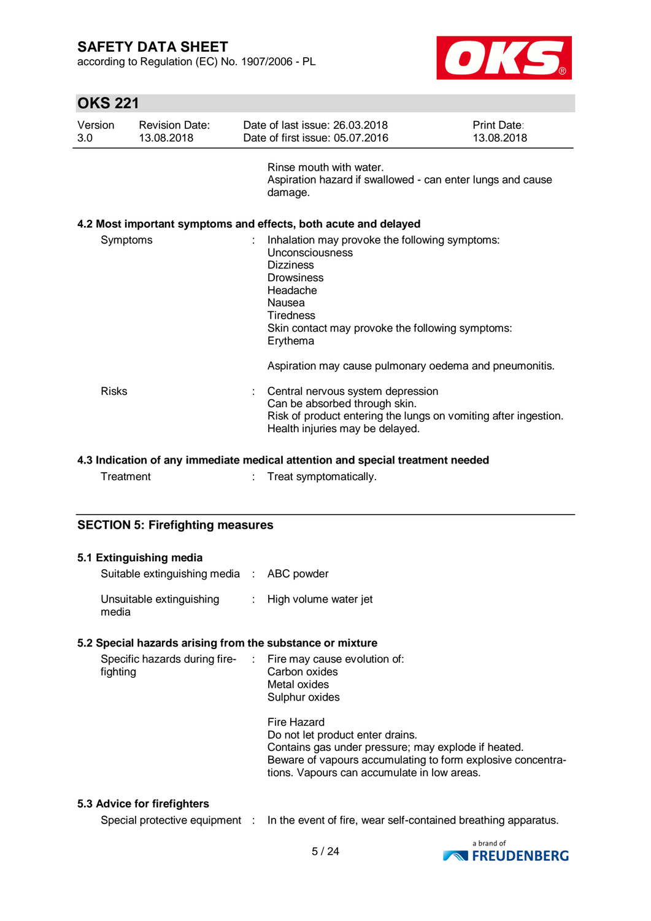according to Regulation (EC) No. 1907/2006 - PL



# **OKS 221**

| Version<br>3.0 | <b>Revision Date:</b><br>13.08.2018 | Date of last issue: 26,03,2018<br>Date of first issue: 05.07.2016                                                                                                                                                         | <b>Print Date:</b><br>13.08.2018 |
|----------------|-------------------------------------|---------------------------------------------------------------------------------------------------------------------------------------------------------------------------------------------------------------------------|----------------------------------|
|                |                                     | Rinse mouth with water<br>Aspiration hazard if swallowed - can enter lungs and cause<br>damage.                                                                                                                           |                                  |
|                |                                     | 4.2 Most important symptoms and effects, both acute and delayed                                                                                                                                                           |                                  |
| Symptoms       |                                     | Inhalation may provoke the following symptoms:<br>÷<br>Unconsciousness<br><b>Dizziness</b><br><b>Drowsiness</b><br>Headache<br>Nausea<br><b>Tiredness</b><br>Skin contact may provoke the following symptoms:<br>Erythema |                                  |
|                |                                     | Aspiration may cause pulmonary oedema and pneumonitis.                                                                                                                                                                    |                                  |
| Risks          |                                     | Central nervous system depression<br>Can be absorbed through skin.<br>Risk of product entering the lungs on vomiting after ingestion.<br>Health injuries may be delayed.                                                  |                                  |

#### **4.3 Indication of any immediate medical attention and special treatment needed**

Treatment : Treat symptomatically.

#### **SECTION 5: Firefighting measures**

| 5.1 Extinguishing media<br>Suitable extinguishing media : ABC powder     |                                                                                                                                                                                                                      |
|--------------------------------------------------------------------------|----------------------------------------------------------------------------------------------------------------------------------------------------------------------------------------------------------------------|
| Unsuitable extinguishing<br>media                                        | : High volume water jet                                                                                                                                                                                              |
| 5.2 Special hazards arising from the substance or mixture                |                                                                                                                                                                                                                      |
| Specific hazards during fire- : Fire may cause evolution of:<br>fighting | Carbon oxides<br>Metal oxides<br>Sulphur oxides                                                                                                                                                                      |
|                                                                          | Fire Hazard<br>Do not let product enter drains.<br>Contains gas under pressure; may explode if heated.<br>Beware of vapours accumulating to form explosive concentra-<br>tions. Vapours can accumulate in low areas. |

#### **5.3 Advice for firefighters**

Special protective equipment : In the event of fire, wear self-contained breathing apparatus.

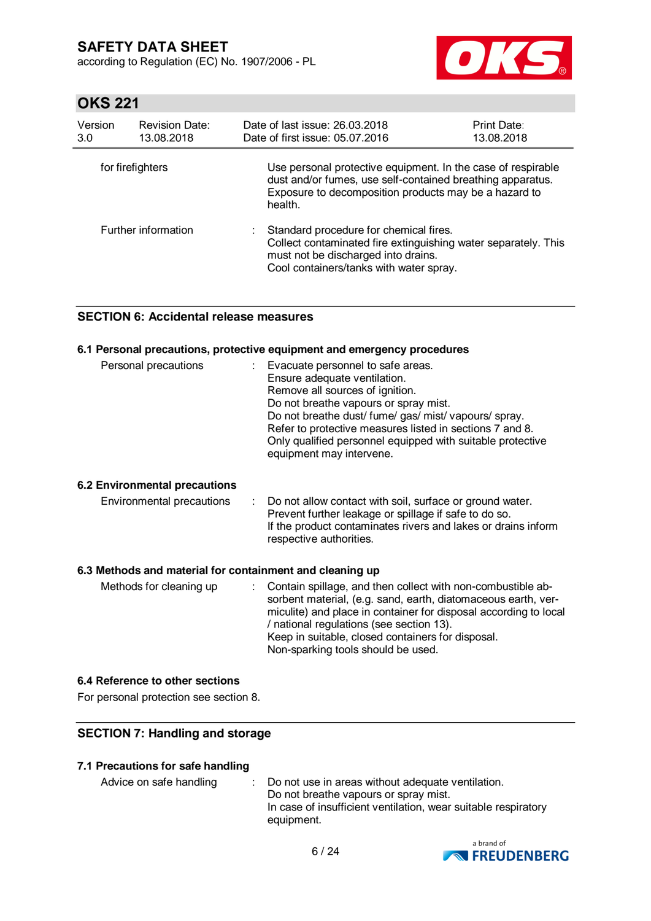according to Regulation (EC) No. 1907/2006 - PL



# **OKS 221**

| Version<br>3.0   | <b>Revision Date:</b><br>13.08.2018 | Date of last issue: 26,03,2018<br>Date of first issue: 05.07.2016                                                                                                                              | <b>Print Date:</b><br>13.08.2018 |
|------------------|-------------------------------------|------------------------------------------------------------------------------------------------------------------------------------------------------------------------------------------------|----------------------------------|
| for firefighters |                                     | Use personal protective equipment. In the case of respirable<br>dust and/or fumes, use self-contained breathing apparatus.<br>Exposure to decomposition products may be a hazard to<br>health. |                                  |
|                  | Further information                 | : Standard procedure for chemical fires.<br>Collect contaminated fire extinguishing water separately. This<br>must not be discharged into drains.<br>Cool containers/tanks with water spray.   |                                  |

#### **SECTION 6: Accidental release measures**

#### **6.1 Personal precautions, protective equipment and emergency procedures**

| Personal precautions | Evacuate personnel to safe areas.<br>Ensure adequate ventilation.<br>Remove all sources of ignition.<br>Do not breathe vapours or spray mist.<br>Do not breathe dust/ fume/ gas/ mist/ vapours/ spray.<br>Refer to protective measures listed in sections 7 and 8.<br>Only qualified personnel equipped with suitable protective |
|----------------------|----------------------------------------------------------------------------------------------------------------------------------------------------------------------------------------------------------------------------------------------------------------------------------------------------------------------------------|
|                      | equipment may intervene.                                                                                                                                                                                                                                                                                                         |

#### **6.2 Environmental precautions**

| Environmental precautions | : Do not allow contact with soil, surface or ground water.    |
|---------------------------|---------------------------------------------------------------|
|                           | Prevent further leakage or spillage if safe to do so.         |
|                           | If the product contaminates rivers and lakes or drains inform |
|                           | respective authorities.                                       |

#### **6.3 Methods and material for containment and cleaning up**

#### **6.4 Reference to other sections**

For personal protection see section 8.

#### **SECTION 7: Handling and storage**

#### **7.1 Precautions for safe handling**

Advice on safe handling : Do not use in areas without adequate ventilation. Do not breathe vapours or spray mist. In case of insufficient ventilation, wear suitable respiratory equipment.

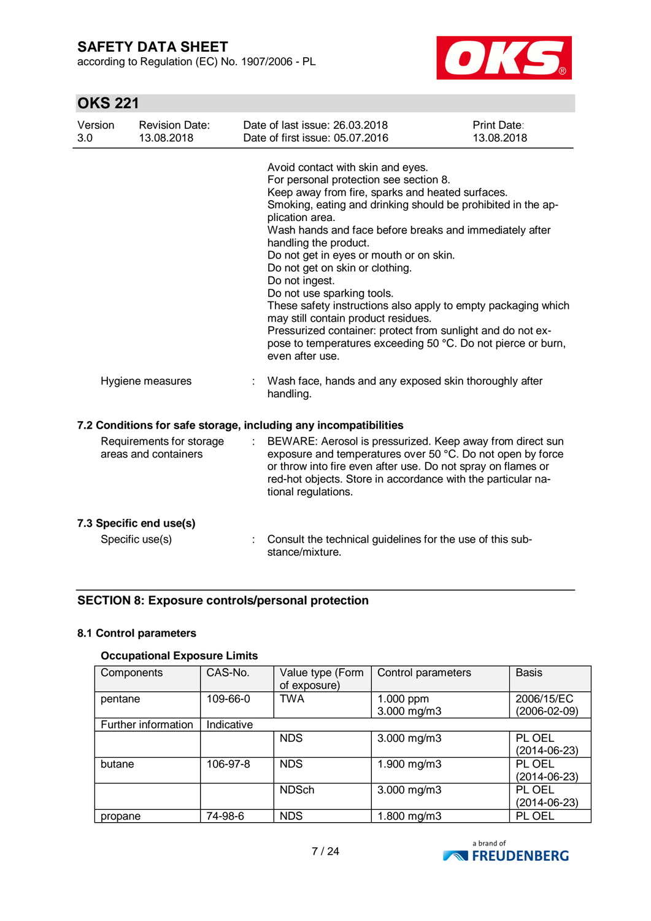according to Regulation (EC) No. 1907/2006 - PL



# **OKS 221**

| Version<br>3.0 | <b>Revision Date:</b><br>13.08.2018              | Date of last issue: 26.03.2018<br>Date of first issue: 05.07.2016                                                                                                                                                                                                                                                                                                                                                                                                                                                                                                                                                                                                                              | <b>Print Date:</b><br>13.08.2018 |
|----------------|--------------------------------------------------|------------------------------------------------------------------------------------------------------------------------------------------------------------------------------------------------------------------------------------------------------------------------------------------------------------------------------------------------------------------------------------------------------------------------------------------------------------------------------------------------------------------------------------------------------------------------------------------------------------------------------------------------------------------------------------------------|----------------------------------|
|                |                                                  | Avoid contact with skin and eyes.<br>For personal protection see section 8.<br>Keep away from fire, sparks and heated surfaces.<br>Smoking, eating and drinking should be prohibited in the ap-<br>plication area.<br>Wash hands and face before breaks and immediately after<br>handling the product.<br>Do not get in eyes or mouth or on skin.<br>Do not get on skin or clothing.<br>Do not ingest.<br>Do not use sparking tools.<br>These safety instructions also apply to empty packaging which<br>may still contain product residues.<br>Pressurized container: protect from sunlight and do not ex-<br>pose to temperatures exceeding 50 °C. Do not pierce or burn,<br>even after use. |                                  |
|                | Hygiene measures                                 | Wash face, hands and any exposed skin thoroughly after<br>handling.                                                                                                                                                                                                                                                                                                                                                                                                                                                                                                                                                                                                                            |                                  |
|                |                                                  | 7.2 Conditions for safe storage, including any incompatibilities                                                                                                                                                                                                                                                                                                                                                                                                                                                                                                                                                                                                                               |                                  |
|                | Requirements for storage<br>areas and containers | BEWARE: Aerosol is pressurized. Keep away from direct sun<br>exposure and temperatures over 50 °C. Do not open by force<br>or throw into fire even after use. Do not spray on flames or<br>red-hot objects. Store in accordance with the particular na-<br>tional regulations.                                                                                                                                                                                                                                                                                                                                                                                                                 |                                  |
|                | 7.3 Specific end use(s)                          |                                                                                                                                                                                                                                                                                                                                                                                                                                                                                                                                                                                                                                                                                                |                                  |
|                | Specific use(s)                                  | Consult the technical guidelines for the use of this sub-<br>stance/mixture.                                                                                                                                                                                                                                                                                                                                                                                                                                                                                                                                                                                                                   |                                  |

#### **SECTION 8: Exposure controls/personal protection**

#### **8.1 Control parameters**

### **Occupational Exposure Limits**

| Components          | CAS-No.    | Value type (Form<br>of exposure) | Control parameters       | <b>Basis</b>                     |
|---------------------|------------|----------------------------------|--------------------------|----------------------------------|
| pentane             | 109-66-0   | <b>TWA</b>                       | 1.000 ppm<br>3.000 mg/m3 | 2006/15/EC<br>$(2006 - 02 - 09)$ |
| Further information | Indicative |                                  |                          |                                  |
|                     |            | <b>NDS</b>                       | 3.000 mg/m3              | PL OEL<br>$(2014-06-23)$         |
| butane              | 106-97-8   | <b>NDS</b>                       | 1.900 mg/m3              | PL OEL<br>$(2014 - 06 - 23)$     |
|                     |            | <b>NDSch</b>                     | $3.000$ mg/m $3$         | PL OEL<br>$(2014 - 06 - 23)$     |
| propane             | 74-98-6    | NDS.                             | 1.800 mg/m3              | PL OEL                           |

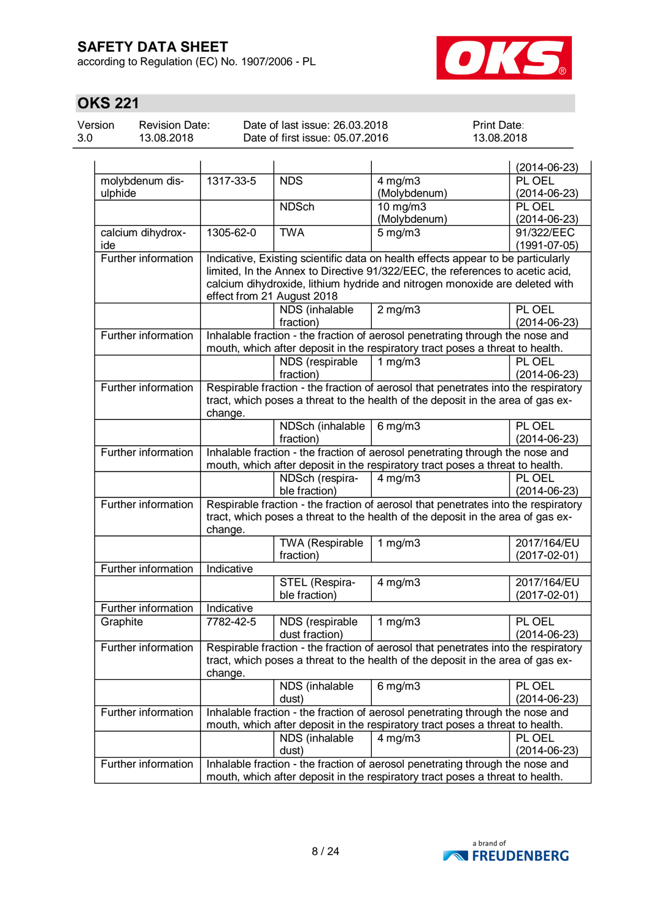according to Regulation (EC) No. 1907/2006 - PL



# **OKS 221**

| Version | <b>Revision Date:</b> |
|---------|-----------------------|
| 3.0     | 13.08.2018            |

Date of last issue: 26.03.2018 Date of first issue: 05.07.2016 Print Date: 13.08.2018

|                            |                                                                                    |                                              |                                                                                    | $(2014 - 06 - 23)$                |
|----------------------------|------------------------------------------------------------------------------------|----------------------------------------------|------------------------------------------------------------------------------------|-----------------------------------|
| molybdenum dis-            | 1317-33-5                                                                          | <b>NDS</b>                                   | $4$ mg/m $3$                                                                       | PL OEL                            |
| ulphide                    |                                                                                    |                                              | (Molybdenum)                                                                       | $(2014 - 06 - 23)$                |
|                            |                                                                                    | <b>NDSch</b>                                 | 10 mg/m3                                                                           | PL OEL                            |
|                            |                                                                                    |                                              | (Molybdenum)                                                                       | $(2014 - 06 - 23)$                |
| calcium dihydrox-          | 1305-62-0                                                                          | <b>TWA</b>                                   | $5$ mg/m $3$                                                                       | 91/322/EEC                        |
| ide                        |                                                                                    |                                              |                                                                                    | $(1991 - 07 - 05)$                |
| <b>Further information</b> |                                                                                    |                                              | Indicative, Existing scientific data on health effects appear to be particularly   |                                   |
|                            |                                                                                    |                                              | limited, In the Annex to Directive 91/322/EEC, the references to acetic acid,      |                                   |
|                            |                                                                                    |                                              | calcium dihydroxide, lithium hydride and nitrogen monoxide are deleted with        |                                   |
|                            |                                                                                    | effect from 21 August 2018<br>NDS (inhalable | $2 \overline{\mathrm{mg}}$ m3                                                      | PL OEL                            |
|                            |                                                                                    | fraction)                                    |                                                                                    | $(2014-06-23)$                    |
| Further information        |                                                                                    |                                              | Inhalable fraction - the fraction of aerosol penetrating through the nose and      |                                   |
|                            |                                                                                    |                                              | mouth, which after deposit in the respiratory tract poses a threat to health.      |                                   |
|                            |                                                                                    | NDS (respirable                              | 1 $mg/m3$                                                                          | PL OEL                            |
|                            |                                                                                    | fraction)                                    |                                                                                    | $(2014-06-23)$                    |
| Further information        |                                                                                    |                                              | Respirable fraction - the fraction of aerosol that penetrates into the respiratory |                                   |
|                            |                                                                                    |                                              | tract, which poses a threat to the health of the deposit in the area of gas ex-    |                                   |
|                            | change.                                                                            |                                              |                                                                                    |                                   |
|                            |                                                                                    | NDSch (inhalable                             | $6 \,\mathrm{mg/m}$                                                                | PL OEL                            |
|                            |                                                                                    | fraction)                                    |                                                                                    | $(2014 - 06 - 23)$                |
| Further information        |                                                                                    |                                              | Inhalable fraction - the fraction of aerosol penetrating through the nose and      |                                   |
|                            |                                                                                    |                                              | mouth, which after deposit in the respiratory tract poses a threat to health.      |                                   |
|                            |                                                                                    | NDSch (respira-                              | $4$ mg/m $3$                                                                       | PL OEL                            |
|                            |                                                                                    | ble fraction)                                |                                                                                    | $(2014-06-23)$                    |
| Further information        | Respirable fraction - the fraction of aerosol that penetrates into the respiratory |                                              |                                                                                    |                                   |
|                            | tract, which poses a threat to the health of the deposit in the area of gas ex-    |                                              |                                                                                    |                                   |
|                            | change.                                                                            |                                              |                                                                                    |                                   |
|                            |                                                                                    | TWA (Respirable<br>fraction)                 | 1 $mg/m3$                                                                          | 2017/164/EU<br>$(2017 - 02 - 01)$ |
| Further information        | Indicative                                                                         |                                              |                                                                                    |                                   |
|                            |                                                                                    | STEL (Respira-                               | $4$ mg/m $3$                                                                       | 2017/164/EU                       |
|                            |                                                                                    | ble fraction)                                |                                                                                    | $(2017 - 02 - 01)$                |
| Further information        | Indicative                                                                         |                                              |                                                                                    |                                   |
| Graphite                   | 7782-42-5                                                                          | NDS (respirable                              | 1 $mg/m3$                                                                          | PL OEL                            |
|                            |                                                                                    | dust fraction)                               |                                                                                    | $(2014 - 06 - 23)$                |
| Further information        |                                                                                    |                                              | Respirable fraction - the fraction of aerosol that penetrates into the respiratory |                                   |
|                            |                                                                                    |                                              | tract, which poses a threat to the health of the deposit in the area of gas ex-    |                                   |
|                            | change.                                                                            |                                              |                                                                                    |                                   |
|                            |                                                                                    | NDS (inhalable                               | 6 mg/m $\overline{3}$                                                              | PL OEL                            |
|                            |                                                                                    | dust)                                        |                                                                                    | $(2014 - 06 - 23)$                |
| Further information        | Inhalable fraction - the fraction of aerosol penetrating through the nose and      |                                              |                                                                                    |                                   |
|                            |                                                                                    |                                              | mouth, which after deposit in the respiratory tract poses a threat to health.      |                                   |
|                            |                                                                                    | NDS (inhalable                               | $4$ mg/m $3$                                                                       | PL OEL                            |
|                            |                                                                                    | dust)                                        |                                                                                    | $(2014 - 06 - 23)$                |
| <b>Further information</b> |                                                                                    |                                              | Inhalable fraction - the fraction of aerosol penetrating through the nose and      |                                   |
|                            | mouth, which after deposit in the respiratory tract poses a threat to health.      |                                              |                                                                                    |                                   |

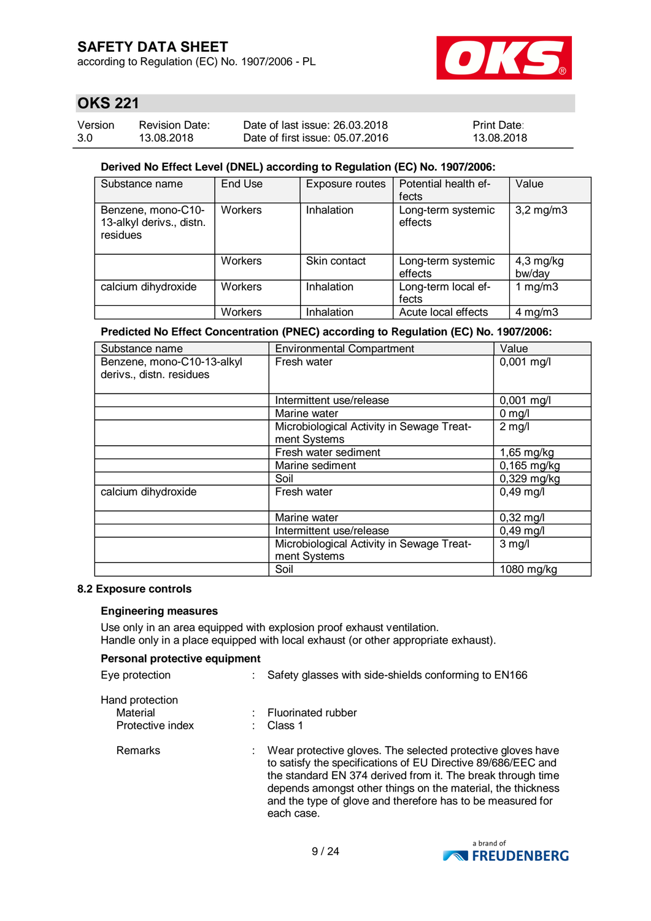according to Regulation (EC) No. 1907/2006 - PL



### **OKS 221**

| Version | <b>Revision Date:</b> | Date of last issue: 26.03.2018  | <b>Print Date:</b> |
|---------|-----------------------|---------------------------------|--------------------|
| 3.0     | 13.08.2018            | Date of first issue: 05.07.2016 | 13.08.2018         |

#### **Derived No Effect Level (DNEL) according to Regulation (EC) No. 1907/2006:**

| Substance name                                             | End Use        | Exposure routes | Potential health ef-<br>fects | Value                 |
|------------------------------------------------------------|----------------|-----------------|-------------------------------|-----------------------|
| Benzene, mono-C10-<br>13-alkyl derivs., distn.<br>residues | Workers        | Inhalation      | Long-term systemic<br>effects | $3,2$ mg/m $3$        |
|                                                            | <b>Workers</b> | Skin contact    | Long-term systemic<br>effects | $4,3$ mg/kg<br>bw/day |
| calcium dihydroxide                                        | Workers        | Inhalation      | Long-term local ef-<br>fects  | 1 $mg/m3$             |
|                                                            | Workers        | Inhalation      | Acute local effects           | $4 \text{ mg/m}$      |

#### **Predicted No Effect Concentration (PNEC) according to Regulation (EC) No. 1907/2006:**

| Substance name                                         | <b>Environmental Compartment</b>                          | Value               |
|--------------------------------------------------------|-----------------------------------------------------------|---------------------|
| Benzene, mono-C10-13-alkyl<br>derivs., distn. residues | Fresh water                                               | $0,001$ mg/l        |
|                                                        | Intermittent use/release                                  | $0,001$ mg/l        |
|                                                        | Marine water                                              | $0$ mg/l            |
|                                                        | Microbiological Activity in Sewage Treat-<br>ment Systems | $2$ mg/l            |
|                                                        | Fresh water sediment                                      | 1,65 mg/kg          |
|                                                        | Marine sediment                                           | 0,165 mg/kg         |
|                                                        | Soil                                                      | $0,329$ mg/kg       |
| calcium dihydroxide                                    | Fresh water                                               | $0,49$ mg/l         |
|                                                        | Marine water                                              | $0,32 \text{ mg/l}$ |
|                                                        | Intermittent use/release                                  | $0,49$ mg/l         |
|                                                        | Microbiological Activity in Sewage Treat-<br>ment Systems | $3$ mg/l            |
|                                                        | Soil                                                      | 1080 mg/kg          |

#### **8.2 Exposure controls**

#### **Engineering measures**

Use only in an area equipped with explosion proof exhaust ventilation. Handle only in a place equipped with local exhaust (or other appropriate exhaust).

#### **Personal protective equipment**

| Eye protection              | Safety glasses with side-shields conforming to EN166                                                                                                                                                                                                                                                                                  |  |
|-----------------------------|---------------------------------------------------------------------------------------------------------------------------------------------------------------------------------------------------------------------------------------------------------------------------------------------------------------------------------------|--|
| Hand protection<br>Material | Fluorinated rubber                                                                                                                                                                                                                                                                                                                    |  |
| Protective index            | Class 1                                                                                                                                                                                                                                                                                                                               |  |
| <b>Remarks</b>              | Wear protective gloves. The selected protective gloves have<br>to satisfy the specifications of EU Directive 89/686/EEC and<br>the standard EN 374 derived from it. The break through time<br>depends amongst other things on the material, the thickness<br>and the type of glove and therefore has to be measured for<br>each case. |  |

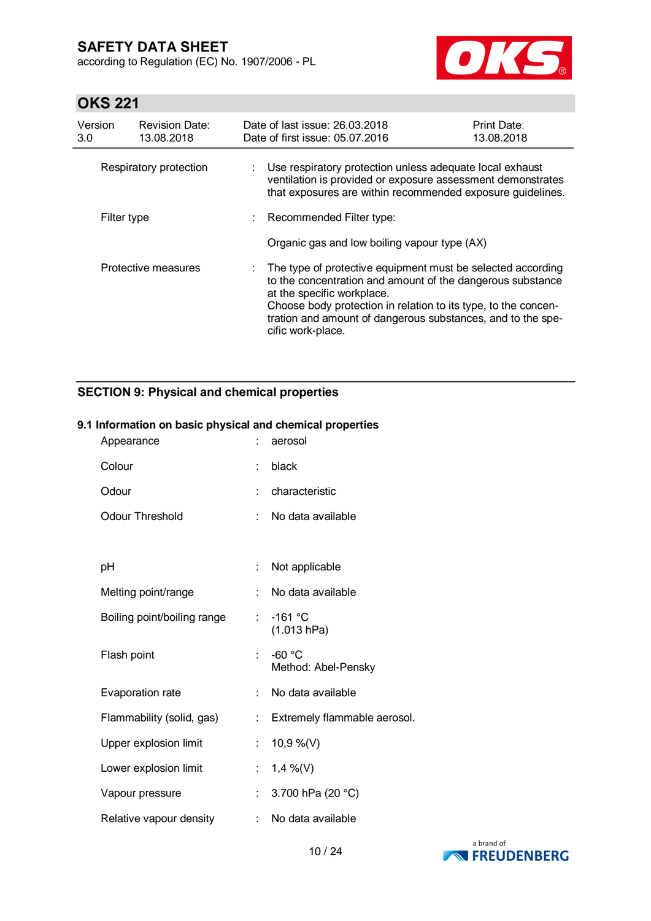according to Regulation (EC) No. 1907/2006 - PL



# **OKS 221**

| Version<br>3.0 | <b>Revision Date:</b><br>13.08.2018 |    | Date of last issue: 26,03,2018<br>Date of first issue: 05.07.2016                                                                                                                                                                                                                                               | <b>Print Date:</b><br>13.08.2018 |
|----------------|-------------------------------------|----|-----------------------------------------------------------------------------------------------------------------------------------------------------------------------------------------------------------------------------------------------------------------------------------------------------------------|----------------------------------|
|                | Respiratory protection              | t. | Use respiratory protection unless adequate local exhaust<br>ventilation is provided or exposure assessment demonstrates<br>that exposures are within recommended exposure guidelines.                                                                                                                           |                                  |
| Filter type    |                                     |    | : Recommended Filter type:                                                                                                                                                                                                                                                                                      |                                  |
|                |                                     |    | Organic gas and low boiling vapour type (AX)                                                                                                                                                                                                                                                                    |                                  |
|                | Protective measures                 |    | : The type of protective equipment must be selected according<br>to the concentration and amount of the dangerous substance<br>at the specific workplace.<br>Choose body protection in relation to its type, to the concen-<br>tration and amount of dangerous substances, and to the spe-<br>cific work-place. |                                  |

### **SECTION 9: Physical and chemical properties**

#### **9.1 Information on basic physical and chemical properties**

| Appearance                  |                           | aerosol                         |
|-----------------------------|---------------------------|---------------------------------|
| Colour                      |                           | black                           |
| Odour                       | ÷.                        | characteristic                  |
| <b>Odour Threshold</b>      | ÷                         | No data available               |
|                             |                           |                                 |
| pH                          | ÷                         | Not applicable                  |
| Melting point/range         |                           | No data available               |
| Boiling point/boiling range | $\mathbb{R}^{\mathbb{Z}}$ | $-161$ °C<br>(1.013 hPa)        |
| Flash point                 |                           | $-60 °C$<br>Method: Abel-Pensky |
| Evaporation rate            | t.                        | No data available               |
| Flammability (solid, gas)   | ÷                         | Extremely flammable aerosol.    |
| Upper explosion limit       | $\mathbb{Z}^{\mathbb{Z}}$ | 10,9 %(V)                       |
| Lower explosion limit       | ÷.                        | 1,4 %(V)                        |
| Vapour pressure             | ÷.                        | 3.700 hPa (20 °C)               |
| Relative vapour density     | ÷                         | No data available               |

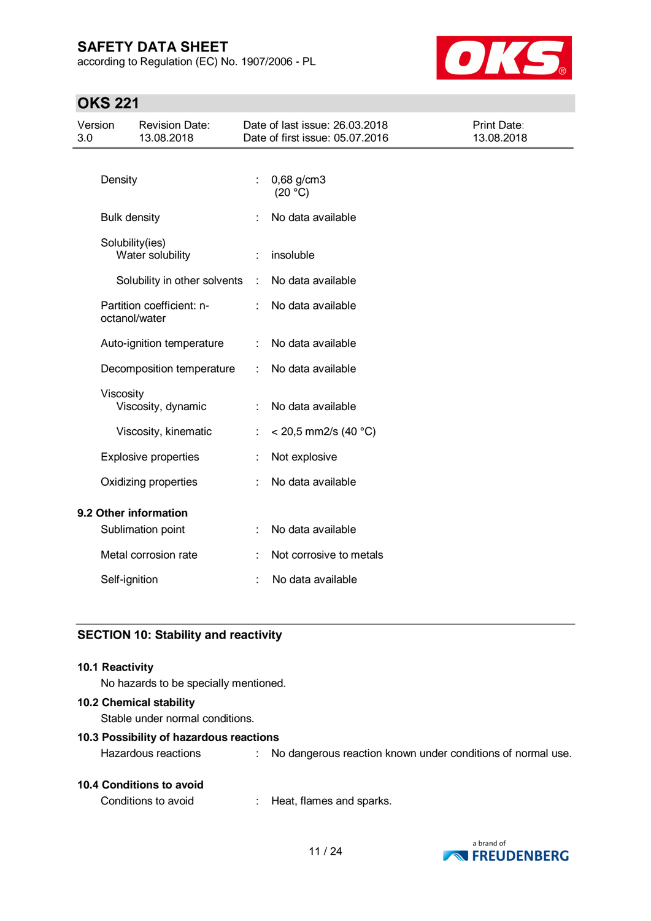according to Regulation (EC) No. 1907/2006 - PL



# **OKS 221**

| Version<br>3.0        |                     | <b>Revision Date:</b><br>13.08.2018 |   | Date of last issue: 26.03.2018<br>Date of first issue: 05.07.2016 | <b>Print Date:</b><br>13.08.2018 |
|-----------------------|---------------------|-------------------------------------|---|-------------------------------------------------------------------|----------------------------------|
|                       | Density             |                                     | ÷ | 0,68 g/cm3                                                        |                                  |
|                       |                     |                                     |   | (20 °C)                                                           |                                  |
|                       | <b>Bulk density</b> |                                     |   | No data available                                                 |                                  |
|                       | Solubility(ies)     | Water solubility                    |   | insoluble                                                         |                                  |
|                       |                     | Solubility in other solvents        | ÷ | No data available                                                 |                                  |
|                       | octanol/water       | Partition coefficient: n-           | ÷ | No data available                                                 |                                  |
|                       |                     | Auto-ignition temperature           | ÷ | No data available                                                 |                                  |
|                       |                     | Decomposition temperature           | ÷ | No data available                                                 |                                  |
|                       | Viscosity           | Viscosity, dynamic                  |   | No data available                                                 |                                  |
|                       |                     | Viscosity, kinematic                | ÷ | $<$ 20,5 mm2/s (40 °C)                                            |                                  |
|                       |                     | <b>Explosive properties</b>         |   | Not explosive                                                     |                                  |
|                       |                     | Oxidizing properties                |   | No data available                                                 |                                  |
| 9.2 Other information |                     |                                     |   |                                                                   |                                  |
|                       |                     | Sublimation point                   |   | No data available                                                 |                                  |
|                       |                     | Metal corrosion rate                |   | Not corrosive to metals                                           |                                  |
|                       | Self-ignition       |                                     |   | No data available                                                 |                                  |

#### **SECTION 10: Stability and reactivity**

#### **10.1 Reactivity**

No hazards to be specially mentioned.

#### **10.2 Chemical stability**

Stable under normal conditions.

#### **10.3 Possibility of hazardous reactions**

| <b>10.4 Conditions to avoid</b> |  |
|---------------------------------|--|
|---------------------------------|--|

Conditions to avoid : Heat, flames and sparks.



Hazardous reactions : No dangerous reaction known under conditions of normal use.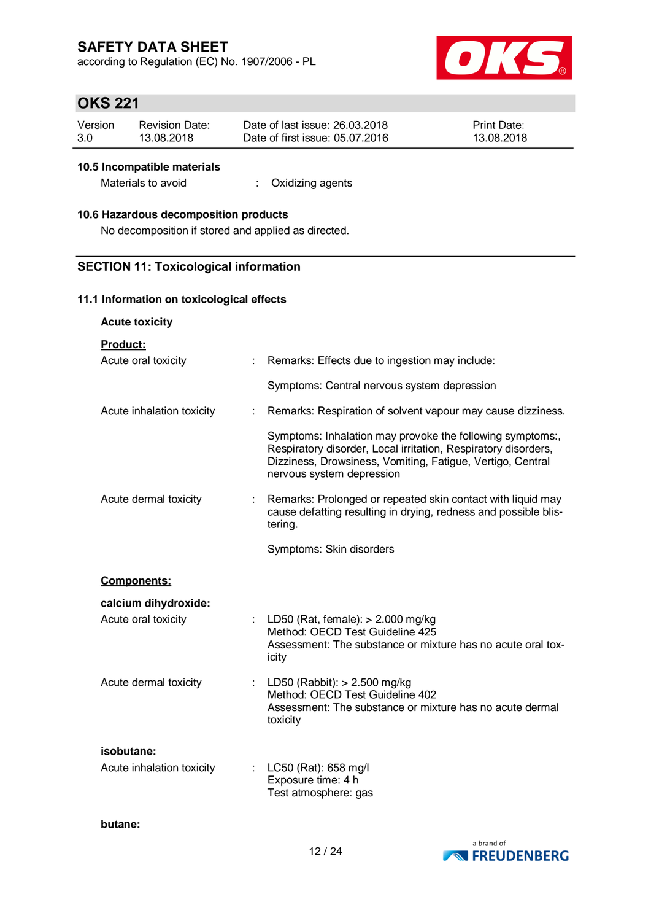according to Regulation (EC) No. 1907/2006 - PL



# **OKS 221**

| Version | <b>Revision Date:</b> | Date of last issue: 26.03.2018  | <b>Print Date:</b> |
|---------|-----------------------|---------------------------------|--------------------|
| 3.0     | 13.08.2018            | Date of first issue: 05.07.2016 | 13.08.2018         |

#### **10.5 Incompatible materials**

Materials to avoid : Oxidizing agents

#### **10.6 Hazardous decomposition products**

No decomposition if stored and applied as directed.

#### **SECTION 11: Toxicological information**

#### **11.1 Information on toxicological effects**

**Acute toxicity**

**Product:**

| Acute oral toxicity       |    | Remarks: Effects due to ingestion may include:                                                                                                                                                                         |
|---------------------------|----|------------------------------------------------------------------------------------------------------------------------------------------------------------------------------------------------------------------------|
|                           |    | Symptoms: Central nervous system depression                                                                                                                                                                            |
| Acute inhalation toxicity | t  | Remarks: Respiration of solvent vapour may cause dizziness.                                                                                                                                                            |
|                           |    | Symptoms: Inhalation may provoke the following symptoms:,<br>Respiratory disorder, Local irritation, Respiratory disorders,<br>Dizziness, Drowsiness, Vomiting, Fatigue, Vertigo, Central<br>nervous system depression |
| Acute dermal toxicity     | ÷. | Remarks: Prolonged or repeated skin contact with liquid may<br>cause defatting resulting in drying, redness and possible blis-<br>tering.                                                                              |
|                           |    | Symptoms: Skin disorders                                                                                                                                                                                               |
| <b>Components:</b>        |    |                                                                                                                                                                                                                        |
| calcium dihydroxide:      |    |                                                                                                                                                                                                                        |
| Acute oral toxicity       |    | : LD50 (Rat, female): $> 2.000$ mg/kg<br>Method: OECD Test Guideline 425<br>Assessment: The substance or mixture has no acute oral tox-<br>icity                                                                       |
| Acute dermal toxicity     |    | LD50 (Rabbit): $> 2.500$ mg/kg<br>Method: OECD Test Guideline 402<br>Assessment: The substance or mixture has no acute dermal<br>toxicity                                                                              |
|                           |    |                                                                                                                                                                                                                        |
| isobutane:                |    |                                                                                                                                                                                                                        |
| Acute inhalation toxicity |    | LC50 (Rat): 658 mg/l<br>Exposure time: 4 h<br>Test atmosphere: gas                                                                                                                                                     |

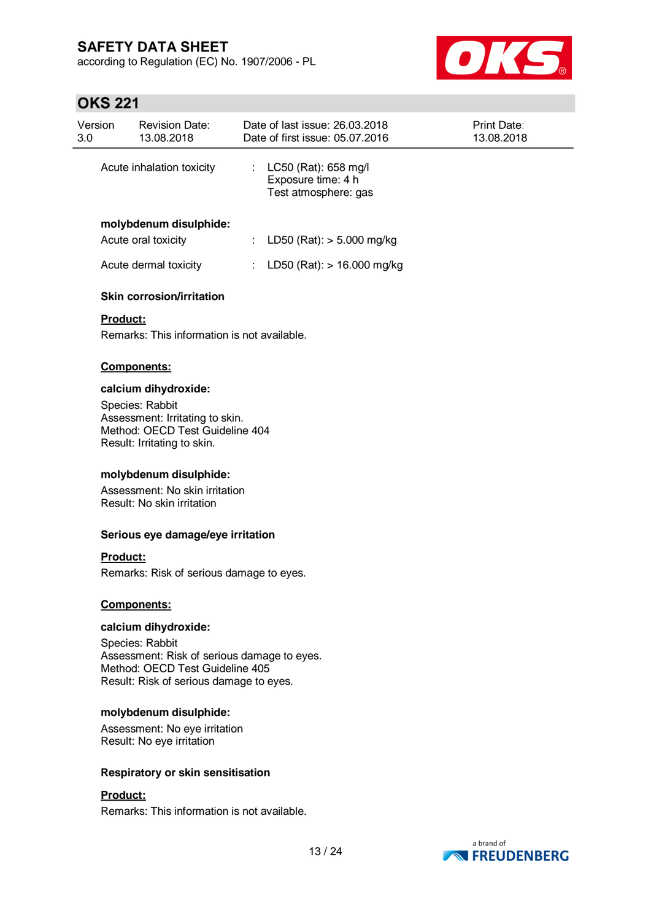according to Regulation (EC) No. 1907/2006 - PL



### **OKS 221**

| Version<br>3.0 | <b>Revision Date:</b><br>13.08.2018 | Date of last issue: 26.03.2018<br>Date of first issue: 05.07.2016    | <b>Print Date:</b><br>13.08.2018 |
|----------------|-------------------------------------|----------------------------------------------------------------------|----------------------------------|
|                | Acute inhalation toxicity           | $LC50$ (Rat): 658 mg/l<br>Exposure time: 4 h<br>Test atmosphere: gas |                                  |
|                | molybdenum disulphide:              |                                                                      |                                  |
|                | Acute oral toxicity                 | LD50 (Rat): $> 5.000$ mg/kg                                          |                                  |
|                | Acute dermal toxicity               | LD50 (Rat): $> 16.000$ mg/kg                                         |                                  |
|                | <b>Skin corrosion/irritation</b>    |                                                                      |                                  |

# **Product:**

Remarks: This information is not available.

#### **Components:**

#### **calcium dihydroxide:**

Species: Rabbit Assessment: Irritating to skin. Method: OECD Test Guideline 404 Result: Irritating to skin.

#### **molybdenum disulphide:**

Assessment: No skin irritation Result: No skin irritation

#### **Serious eye damage/eye irritation**

#### **Product:**

Remarks: Risk of serious damage to eyes.

#### **Components:**

#### **calcium dihydroxide:**

Species: Rabbit Assessment: Risk of serious damage to eyes. Method: OECD Test Guideline 405 Result: Risk of serious damage to eyes.

#### **molybdenum disulphide:**

Assessment: No eye irritation Result: No eye irritation

#### **Respiratory or skin sensitisation**

#### **Product:**

Remarks: This information is not available.

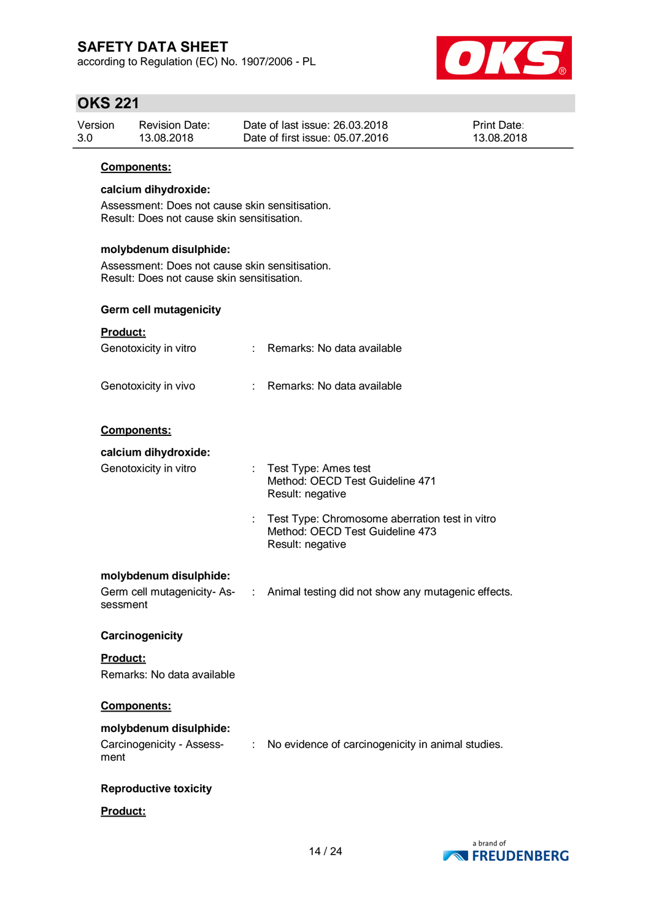according to Regulation (EC) No. 1907/2006 - PL



### **OKS 221**

| Version | Revision Date: | Date of last issue: 26,03,2018  | <b>Print Date:</b> |
|---------|----------------|---------------------------------|--------------------|
| 3.0     | 13.08.2018     | Date of first issue: 05.07.2016 | 13.08.2018         |

#### **Components:**

#### **calcium dihydroxide:**

Assessment: Does not cause skin sensitisation. Result: Does not cause skin sensitisation.

#### **molybdenum disulphide:**

Assessment: Does not cause skin sensitisation. Result: Does not cause skin sensitisation.

#### **Germ cell mutagenicity**

| Product:                   |                             |                                                                                                       |
|----------------------------|-----------------------------|-------------------------------------------------------------------------------------------------------|
| Genotoxicity in vitro      | $\mathbf{r}_{\mathrm{max}}$ | Remarks: No data available                                                                            |
| Genotoxicity in vivo       |                             | Remarks: No data available                                                                            |
| Components:                |                             |                                                                                                       |
| calcium dihydroxide:       |                             |                                                                                                       |
| Genotoxicity in vitro      | ÷.                          | Test Type: Ames test<br>Method: OECD Test Guideline 471<br>Result: negative                           |
|                            | ÷                           | Test Type: Chromosome aberration test in vitro<br>Method: OECD Test Guideline 473<br>Result: negative |
| molybdenum disulphide:     |                             |                                                                                                       |
| sessment                   |                             | Germ cell mutagenicity-As- : Animal testing did not show any mutagenic effects.                       |
| Carcinogenicity            |                             |                                                                                                       |
| <b>Product:</b>            |                             |                                                                                                       |
| Remarks: No data available |                             |                                                                                                       |

#### **Components:**

#### **molybdenum disulphide:**

#### Carcinogenicity - Assessment : No evidence of carcinogenicity in animal studies.

#### **Reproductive toxicity**

#### **Product:**

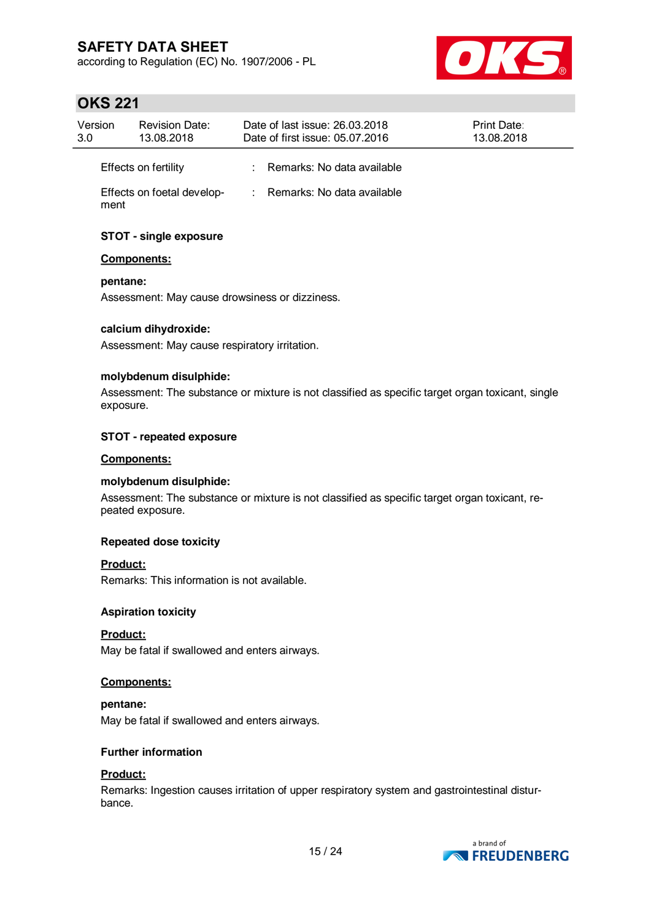according to Regulation (EC) No. 1907/2006 - PL



# **OKS 221**

| Version<br>3.0 | <b>Revision Date:</b><br>13.08.2018 | Date of last issue: 26.03.2018<br>Date of first issue: 05.07.2016 | Print Date:<br>13.08.2018 |
|----------------|-------------------------------------|-------------------------------------------------------------------|---------------------------|
|                | Effects on fertility                | : Remarks: No data available                                      |                           |
| ment           | Effects on foetal develop-          | : Remarks: No data available                                      |                           |

### **STOT - single exposure**

#### **Components:**

**pentane:**

Assessment: May cause drowsiness or dizziness.

#### **calcium dihydroxide:**

Assessment: May cause respiratory irritation.

#### **molybdenum disulphide:**

Assessment: The substance or mixture is not classified as specific target organ toxicant, single exposure.

#### **STOT - repeated exposure**

#### **Components:**

#### **molybdenum disulphide:**

Assessment: The substance or mixture is not classified as specific target organ toxicant, repeated exposure.

#### **Repeated dose toxicity**

#### **Product:**

Remarks: This information is not available.

#### **Aspiration toxicity**

#### **Product:**

May be fatal if swallowed and enters airways.

#### **Components:**

#### **pentane:**

May be fatal if swallowed and enters airways.

#### **Further information**

#### **Product:**

Remarks: Ingestion causes irritation of upper respiratory system and gastrointestinal disturbance.

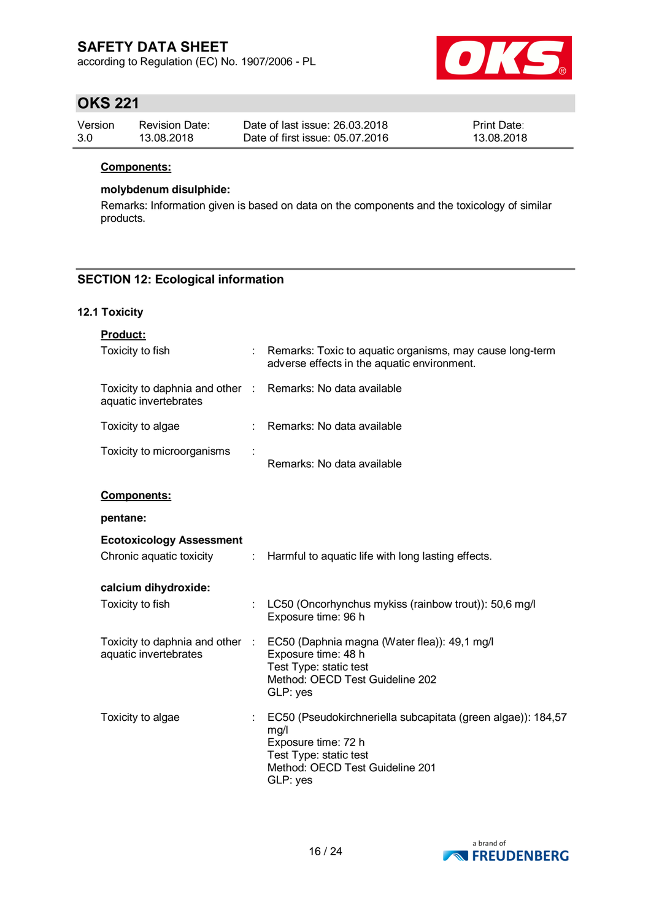according to Regulation (EC) No. 1907/2006 - PL



### **OKS 221**

| Version | <b>Revision Date:</b> | Date of last issue: 26,03,2018  | <b>Print Date:</b> |
|---------|-----------------------|---------------------------------|--------------------|
| 3.0     | 13.08.2018            | Date of first issue: 05.07.2016 | 13.08.2018         |

#### **Components:**

### **molybdenum disulphide:**

Remarks: Information given is based on data on the components and the toxicology of similar products.

### **SECTION 12: Ecological information**

#### **12.1 Toxicity**

| Product:                                                                            |                       |                                                                                                                                                                      |
|-------------------------------------------------------------------------------------|-----------------------|----------------------------------------------------------------------------------------------------------------------------------------------------------------------|
| Toxicity to fish                                                                    |                       | Remarks: Toxic to aquatic organisms, may cause long-term<br>adverse effects in the aquatic environment.                                                              |
| Toxicity to daphnia and other : Remarks: No data available<br>aquatic invertebrates |                       |                                                                                                                                                                      |
| Toxicity to algae                                                                   |                       | : Remarks: No data available                                                                                                                                         |
| Toxicity to microorganisms                                                          |                       | Remarks: No data available                                                                                                                                           |
| Components:                                                                         |                       |                                                                                                                                                                      |
| pentane:                                                                            |                       |                                                                                                                                                                      |
| <b>Ecotoxicology Assessment</b><br>Chronic aquatic toxicity                         |                       | : Harmful to aquatic life with long lasting effects.                                                                                                                 |
| calcium dihydroxide:                                                                |                       |                                                                                                                                                                      |
| Toxicity to fish                                                                    |                       | LC50 (Oncorhynchus mykiss (rainbow trout)): 50,6 mg/l<br>Exposure time: 96 h                                                                                         |
| Toxicity to daphnia and other :<br>aquatic invertebrates                            |                       | EC50 (Daphnia magna (Water flea)): 49,1 mg/l<br>Exposure time: 48 h<br>Test Type: static test<br>Method: OECD Test Guideline 202<br>GLP: yes                         |
| Toxicity to algae                                                                   | $\mathbb{Z}^{\times}$ | EC50 (Pseudokirchneriella subcapitata (green algae)): 184,57<br>mg/l<br>Exposure time: 72 h<br>Test Type: static test<br>Method: OECD Test Guideline 201<br>GLP: yes |

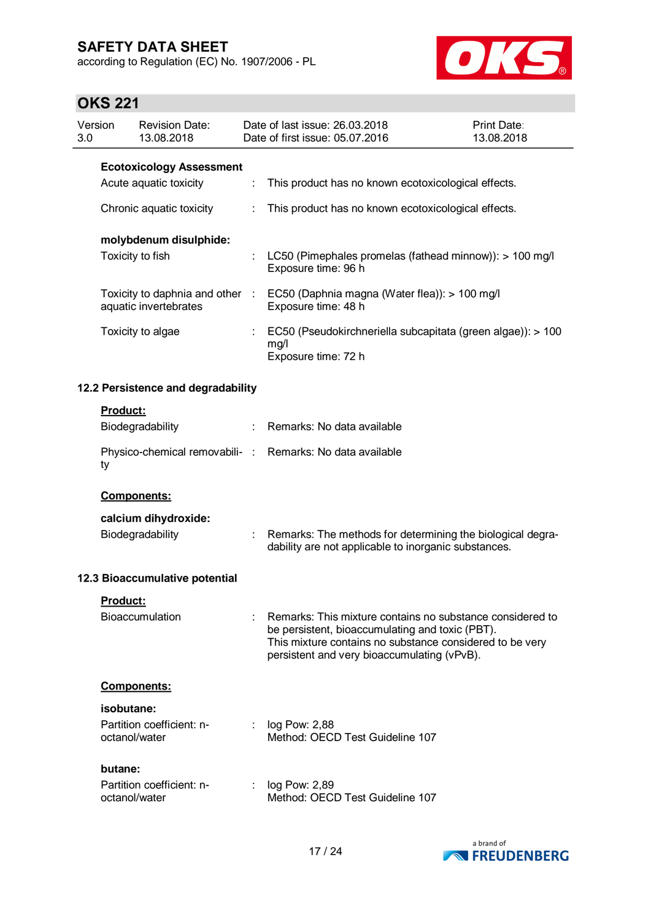according to Regulation (EC) No. 1907/2006 - PL



# $O$  $K$  $O$  $O$  $A$

|                | <b>OKS 221</b>  |                                                          |    |                                                                                                                                                                                                                         |                                  |  |  |
|----------------|-----------------|----------------------------------------------------------|----|-------------------------------------------------------------------------------------------------------------------------------------------------------------------------------------------------------------------------|----------------------------------|--|--|
| Version<br>3.0 |                 | <b>Revision Date:</b><br>13.08.2018                      |    | Date of last issue: 26.03.2018<br>Date of first issue: 05.07.2016                                                                                                                                                       | <b>Print Date:</b><br>13.08.2018 |  |  |
|                |                 | <b>Ecotoxicology Assessment</b>                          |    |                                                                                                                                                                                                                         |                                  |  |  |
|                |                 | Acute aquatic toxicity                                   | ÷  | This product has no known ecotoxicological effects.                                                                                                                                                                     |                                  |  |  |
|                |                 | Chronic aquatic toxicity                                 | ÷  | This product has no known ecotoxicological effects.                                                                                                                                                                     |                                  |  |  |
|                |                 | molybdenum disulphide:                                   |    |                                                                                                                                                                                                                         |                                  |  |  |
|                |                 | Toxicity to fish                                         |    | LC50 (Pimephales promelas (fathead minnow)): > 100 mg/l<br>Exposure time: 96 h                                                                                                                                          |                                  |  |  |
|                |                 | Toxicity to daphnia and other :<br>aquatic invertebrates |    | EC50 (Daphnia magna (Water flea)): > 100 mg/l<br>Exposure time: 48 h                                                                                                                                                    |                                  |  |  |
|                |                 | Toxicity to algae                                        |    | EC50 (Pseudokirchneriella subcapitata (green algae)): > 100<br>mg/l<br>Exposure time: 72 h                                                                                                                              |                                  |  |  |
|                |                 | 12.2 Persistence and degradability                       |    |                                                                                                                                                                                                                         |                                  |  |  |
|                | Product:        |                                                          |    |                                                                                                                                                                                                                         |                                  |  |  |
|                |                 | Biodegradability                                         | ÷. | Remarks: No data available                                                                                                                                                                                              |                                  |  |  |
|                | ty              |                                                          |    | Physico-chemical removabili- : Remarks: No data available                                                                                                                                                               |                                  |  |  |
|                |                 | Components:                                              |    |                                                                                                                                                                                                                         |                                  |  |  |
|                |                 | calcium dihydroxide:                                     |    |                                                                                                                                                                                                                         |                                  |  |  |
|                |                 | Biodegradability                                         | t. | Remarks: The methods for determining the biological degra-<br>dability are not applicable to inorganic substances.                                                                                                      |                                  |  |  |
|                |                 | 12.3 Bioaccumulative potential                           |    |                                                                                                                                                                                                                         |                                  |  |  |
|                | <b>Product:</b> |                                                          |    |                                                                                                                                                                                                                         |                                  |  |  |
|                |                 | Bioaccumulation                                          |    | Remarks: This mixture contains no substance considered to<br>be persistent, bioaccumulating and toxic (PBT).<br>This mixture contains no substance considered to be very<br>persistent and very bioaccumulating (vPvB). |                                  |  |  |
|                |                 | Components:                                              |    |                                                                                                                                                                                                                         |                                  |  |  |
|                | isobutane:      |                                                          |    |                                                                                                                                                                                                                         |                                  |  |  |
|                | octanol/water   | Partition coefficient: n-                                |    | log Pow: 2,88<br>Method: OECD Test Guideline 107                                                                                                                                                                        |                                  |  |  |
|                | butane:         |                                                          |    |                                                                                                                                                                                                                         |                                  |  |  |
|                | octanol/water   | Partition coefficient: n-                                |    | log Pow: 2,89<br>Method: OECD Test Guideline 107                                                                                                                                                                        |                                  |  |  |

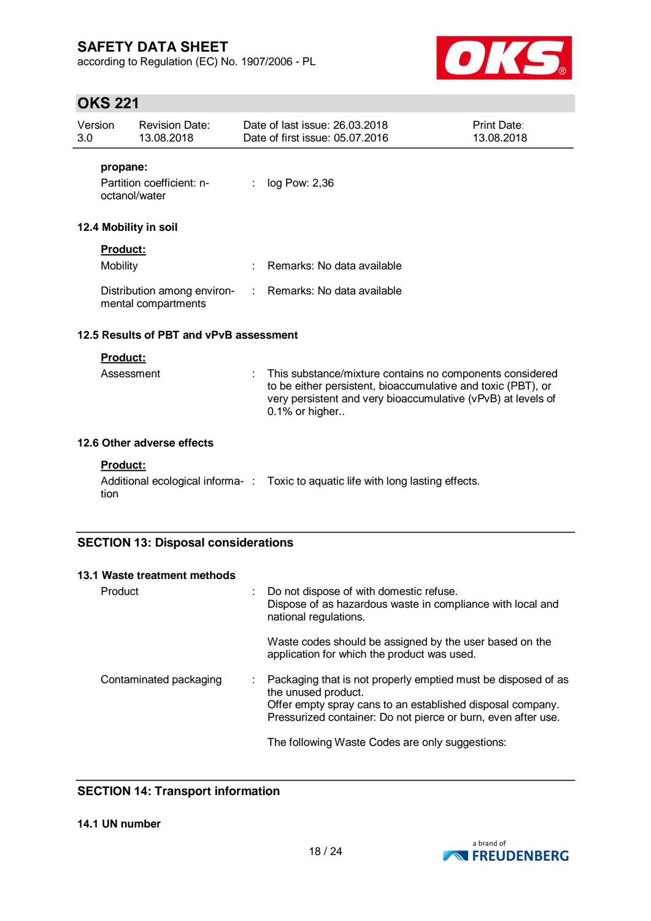according to Regulation (EC) No. 1907/2006 - PL



# **OKS 221**

| Version<br>3.0 |                                    | <b>Revision Date:</b><br>13.08.2018                |                             | Date of last issue: 26.03.2018<br>Date of first issue: 05.07.2016                                                                                                                                          | <b>Print Date:</b><br>13.08.2018 |
|----------------|------------------------------------|----------------------------------------------------|-----------------------------|------------------------------------------------------------------------------------------------------------------------------------------------------------------------------------------------------------|----------------------------------|
|                | propane:<br>octanol/water          | Partition coefficient: n-                          | ÷.                          | log Pow: 2,36                                                                                                                                                                                              |                                  |
|                |                                    | 12.4 Mobility in soil                              |                             |                                                                                                                                                                                                            |                                  |
|                | <b>Product:</b><br><b>Mobility</b> |                                                    |                             | Remarks: No data available                                                                                                                                                                                 |                                  |
|                |                                    | Distribution among environ-<br>mental compartments | $\mathcal{L}^{\mathcal{L}}$ | Remarks: No data available                                                                                                                                                                                 |                                  |
|                |                                    | 12.5 Results of PBT and vPvB assessment            |                             |                                                                                                                                                                                                            |                                  |
|                | Product:<br>Assessment             |                                                    |                             | This substance/mixture contains no components considered<br>to be either persistent, bioaccumulative and toxic (PBT), or<br>very persistent and very bioaccumulative (vPvB) at levels of<br>0.1% or higher |                                  |
|                |                                    | 12.6 Other adverse effects                         |                             |                                                                                                                                                                                                            |                                  |
|                | <b>Product:</b><br>tion            |                                                    |                             | Additional ecological informa-: Toxic to aquatic life with long lasting effects.                                                                                                                           |                                  |
|                |                                    | <b>SECTION 13: Disposal considerations</b>         |                             |                                                                                                                                                                                                            |                                  |
|                | Product                            | 13.1 Waste treatment methods                       |                             | Do not dispose of with domestic refuse.<br>Dispose of as hazardous waste in compliance with local and<br>national regulations.                                                                             |                                  |

Waste codes should be assigned by the user based on the application for which the product was used.

### Contaminated packaging : Packaging that is not properly emptied must be disposed of as the unused product. Offer empty spray cans to an established disposal company. Pressurized container: Do not pierce or burn, even after use.

The following Waste Codes are only suggestions:

### **SECTION 14: Transport information**

#### **14.1 UN number**

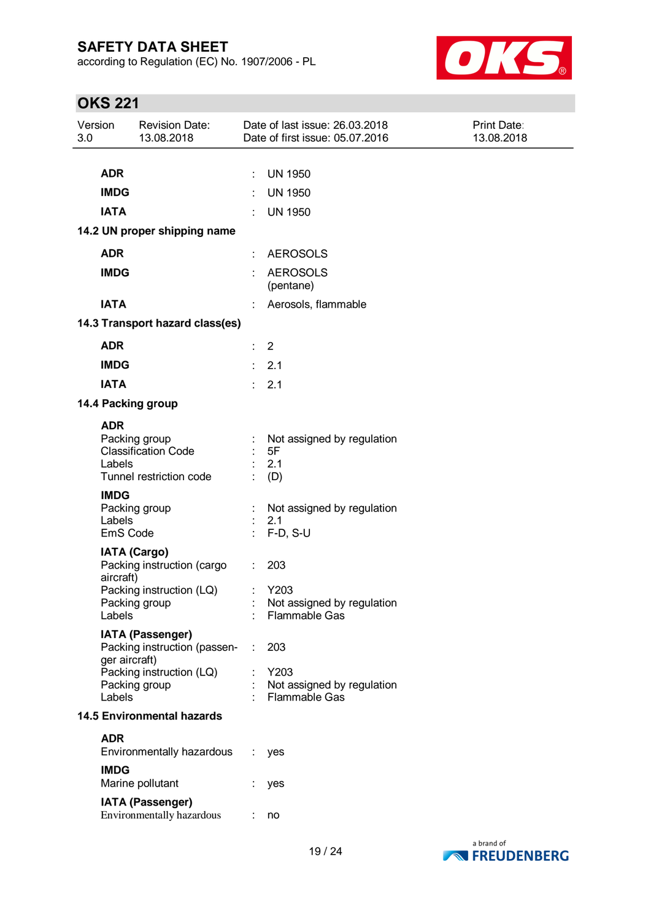according to Regulation (EC) No. 1907/2006 - PL



# **OKS 221**

| Version<br>3.0                    |                    | <b>Revision Date:</b><br>13.08.2018                                    | Date of last issue: 26.03.2018<br>Print Date:<br>Date of first issue: 05.07.2016<br>13.08.2018 |  |
|-----------------------------------|--------------------|------------------------------------------------------------------------|------------------------------------------------------------------------------------------------|--|
|                                   |                    |                                                                        |                                                                                                |  |
|                                   | <b>ADR</b>         |                                                                        | <b>UN 1950</b><br>÷                                                                            |  |
|                                   | <b>IMDG</b>        |                                                                        | <b>UN 1950</b>                                                                                 |  |
|                                   | <b>IATA</b>        |                                                                        | <b>UN 1950</b>                                                                                 |  |
|                                   |                    | 14.2 UN proper shipping name                                           |                                                                                                |  |
|                                   | <b>ADR</b>         |                                                                        | <b>AEROSOLS</b><br>÷                                                                           |  |
|                                   | <b>IMDG</b>        |                                                                        | <b>AEROSOLS</b><br>÷<br>(pentane)                                                              |  |
|                                   | <b>IATA</b>        |                                                                        | Aerosols, flammable                                                                            |  |
|                                   |                    | 14.3 Transport hazard class(es)                                        |                                                                                                |  |
|                                   | <b>ADR</b>         |                                                                        | $\therefore$ 2                                                                                 |  |
|                                   | <b>IMDG</b>        |                                                                        | : 2.1                                                                                          |  |
|                                   | <b>IATA</b>        |                                                                        | : 2.1                                                                                          |  |
|                                   |                    | 14.4 Packing group                                                     |                                                                                                |  |
|                                   | <b>ADR</b>         |                                                                        |                                                                                                |  |
|                                   | Labels             | Packing group<br><b>Classification Code</b><br>Tunnel restriction code | Not assigned by regulation<br>5F<br>2.1<br>(D)                                                 |  |
|                                   | <b>IMDG</b>        |                                                                        |                                                                                                |  |
|                                   | Labels<br>EmS Code | Packing group                                                          | Not assigned by regulation<br>2.1<br>$F-D, S-U$                                                |  |
|                                   |                    | <b>IATA (Cargo)</b>                                                    |                                                                                                |  |
|                                   | aircraft)          | Packing instruction (cargo                                             | 203                                                                                            |  |
|                                   | Labels             | Packing instruction (LQ)<br>Packing group                              | Y203<br>Not assigned by regulation<br><b>Flammable Gas</b>                                     |  |
|                                   |                    |                                                                        |                                                                                                |  |
|                                   | ger aircraft)      | <b>IATA (Passenger)</b><br>Packing instruction (passen-                | 203<br>÷                                                                                       |  |
|                                   | Labels             | Packing instruction (LQ)<br>Packing group                              | Y203<br>Not assigned by regulation<br><b>Flammable Gas</b>                                     |  |
| <b>14.5 Environmental hazards</b> |                    |                                                                        |                                                                                                |  |
|                                   | <b>ADR</b>         |                                                                        |                                                                                                |  |
|                                   |                    | Environmentally hazardous                                              | ÷.<br>yes                                                                                      |  |
|                                   | <b>IMDG</b>        | Marine pollutant                                                       | yes                                                                                            |  |
|                                   |                    | <b>IATA (Passenger)</b><br>Environmentally hazardous                   | no                                                                                             |  |

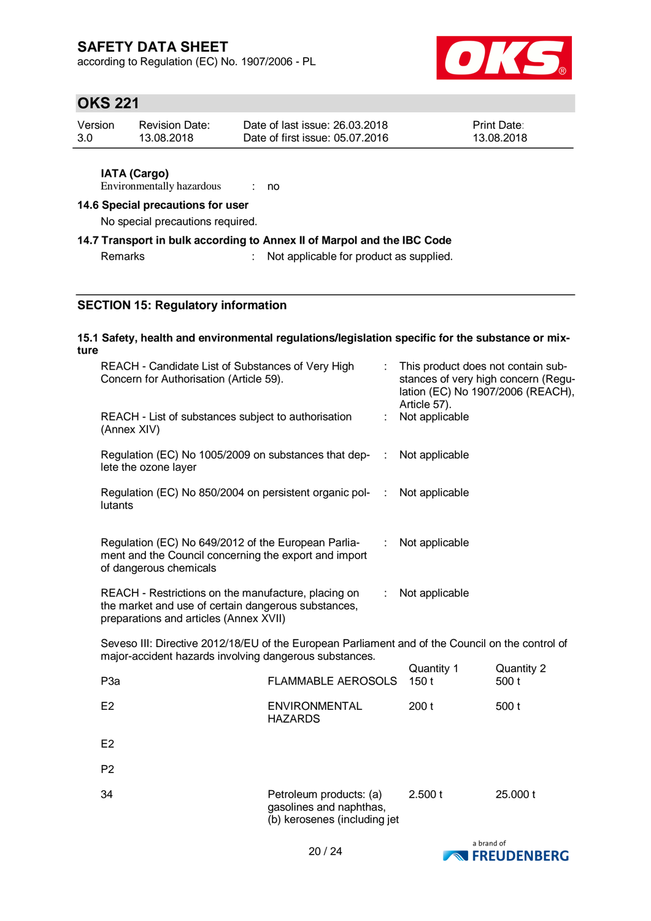according to Regulation (EC) No. 1907/2006 - PL



# **OKS 221**

| Version | <b>Revision Date:</b> | Date of last issue: 26.03.2018  | <b>Print Date:</b> |
|---------|-----------------------|---------------------------------|--------------------|
| 3.0     | 13.08.2018            | Date of first issue: 05.07.2016 | 13.08.2018         |

#### **IATA (Cargo)**

Environmentally hazardous : no

#### **14.6 Special precautions for user**

No special precautions required.

#### **14.7 Transport in bulk according to Annex II of Marpol and the IBC Code**

Remarks : Not applicable for product as supplied.

#### **SECTION 15: Regulatory information**

#### **15.1 Safety, health and environmental regulations/legislation specific for the substance or mixture** REACH - Candidate List of Substances of Very High

| REACH - Candidate List of Substances of Very High<br>Concern for Authorisation (Article 59).                                                                                             |                                        |   | This product does not contain sub-<br>stances of very high concern (Regu-<br>lation (EC) No 1907/2006 (REACH), |                     |  |  |
|------------------------------------------------------------------------------------------------------------------------------------------------------------------------------------------|----------------------------------------|---|----------------------------------------------------------------------------------------------------------------|---------------------|--|--|
| REACH - List of substances subject to authorisation<br>(Annex XIV)                                                                                                                       |                                        |   | Article 57).<br>Not applicable                                                                                 |                     |  |  |
| Regulation (EC) No 1005/2009 on substances that dep-<br>lete the ozone layer                                                                                                             | ÷                                      |   | Not applicable                                                                                                 |                     |  |  |
| Regulation (EC) No 850/2004 on persistent organic pol-<br>lutants                                                                                                                        |                                        |   | Not applicable                                                                                                 |                     |  |  |
| Regulation (EC) No 649/2012 of the European Parlia-<br>ment and the Council concerning the export and import<br>of dangerous chemicals                                                   |                                        | ÷ | Not applicable                                                                                                 |                     |  |  |
| REACH - Restrictions on the manufacture, placing on<br>Not applicable<br>$\mathbb{R}^n$<br>the market and use of certain dangerous substances,<br>preparations and articles (Annex XVII) |                                        |   |                                                                                                                |                     |  |  |
| Seveso III: Directive 2012/18/EU of the European Parliament and of the Council on the control of<br>major-accident hazards involving dangerous substances.                               |                                        |   |                                                                                                                |                     |  |  |
| P <sub>3</sub> a                                                                                                                                                                         | <b>FLAMMABLE AEROSOLS</b>              |   | Quantity 1<br>150t                                                                                             | Quantity 2<br>500 t |  |  |
| E <sub>2</sub>                                                                                                                                                                           | <b>ENVIRONMENTAL</b><br><b>HAZARDS</b> |   | 200 <sub>t</sub>                                                                                               | 500 t               |  |  |
| E <sub>2</sub>                                                                                                                                                                           |                                        |   |                                                                                                                |                     |  |  |
| P <sub>2</sub>                                                                                                                                                                           |                                        |   |                                                                                                                |                     |  |  |

34 Petroleum products: (a) gasolines and naphthas, (b) kerosenes (including jet 2.500 t 25.000 t

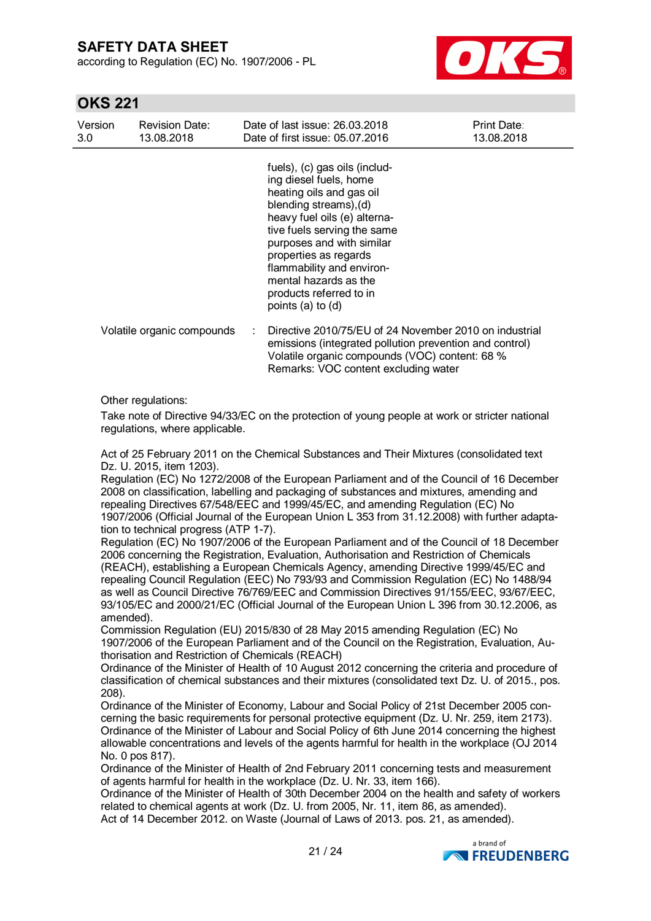according to Regulation (EC) No. 1907/2006 - PL



### **OKS 221**

| Version<br>3.0 | <b>Revision Date:</b><br>13.08.2018 | Date of last issue: 26.03.2018<br>Date of first issue: 05.07.2016                                                                                                                                                                                                                                                                        | <b>Print Date:</b><br>13.08.2018                                                                                  |
|----------------|-------------------------------------|------------------------------------------------------------------------------------------------------------------------------------------------------------------------------------------------------------------------------------------------------------------------------------------------------------------------------------------|-------------------------------------------------------------------------------------------------------------------|
|                |                                     | fuels), (c) gas oils (includ-<br>ing diesel fuels, home<br>heating oils and gas oil<br>blending streams), (d)<br>heavy fuel oils (e) alterna-<br>tive fuels serving the same<br>purposes and with similar<br>properties as regards<br>flammability and environ-<br>mental hazards as the<br>products referred to in<br>points (a) to (d) |                                                                                                                   |
|                | Volatile organic compounds          | Volatile organic compounds (VOC) content: 68 %<br>Remarks: VOC content excluding water                                                                                                                                                                                                                                                   | Directive 2010/75/EU of 24 November 2010 on industrial<br>emissions (integrated pollution prevention and control) |
|                | $\sim$ $\sim$ $\sim$ $\sim$ $\sim$  |                                                                                                                                                                                                                                                                                                                                          |                                                                                                                   |

Other regulations:

Take note of Directive 94/33/EC on the protection of young people at work or stricter national regulations, where applicable.

Act of 25 February 2011 on the Chemical Substances and Their Mixtures (consolidated text Dz. U. 2015, item 1203).

Regulation (EC) No 1272/2008 of the European Parliament and of the Council of 16 December 2008 on classification, labelling and packaging of substances and mixtures, amending and repealing Directives 67/548/EEC and 1999/45/EC, and amending Regulation (EC) No 1907/2006 (Official Journal of the European Union L 353 from 31.12.2008) with further adaptation to technical progress (ATP 1-7).

Regulation (EC) No 1907/2006 of the European Parliament and of the Council of 18 December 2006 concerning the Registration, Evaluation, Authorisation and Restriction of Chemicals (REACH), establishing a European Chemicals Agency, amending Directive 1999/45/EC and repealing Council Regulation (EEC) No 793/93 and Commission Regulation (EC) No 1488/94 as well as Council Directive 76/769/EEC and Commission Directives 91/155/EEC, 93/67/EEC, 93/105/EC and 2000/21/EC (Official Journal of the European Union L 396 from 30.12.2006, as amended).

Commission Regulation (EU) 2015/830 of 28 May 2015 amending Regulation (EC) No 1907/2006 of the European Parliament and of the Council on the Registration, Evaluation, Authorisation and Restriction of Chemicals (REACH)

Ordinance of the Minister of Health of 10 August 2012 concerning the criteria and procedure of classification of chemical substances and their mixtures (consolidated text Dz. U. of 2015., pos. 208).

Ordinance of the Minister of Economy, Labour and Social Policy of 21st December 2005 concerning the basic requirements for personal protective equipment (Dz. U. Nr. 259, item 2173). Ordinance of the Minister of Labour and Social Policy of 6th June 2014 concerning the highest allowable concentrations and levels of the agents harmful for health in the workplace (OJ 2014 No. 0 pos 817).

Ordinance of the Minister of Health of 2nd February 2011 concerning tests and measurement of agents harmful for health in the workplace (Dz. U. Nr. 33, item 166).

Ordinance of the Minister of Health of 30th December 2004 on the health and safety of workers related to chemical agents at work (Dz. U. from 2005, Nr. 11, item 86, as amended). Act of 14 December 2012. on Waste (Journal of Laws of 2013. pos. 21, as amended).

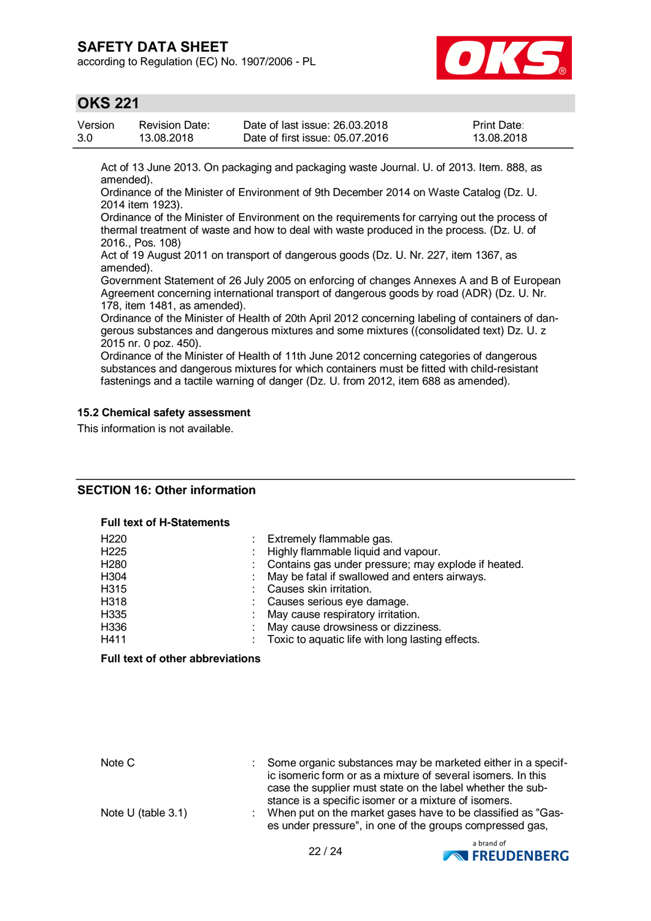according to Regulation (EC) No. 1907/2006 - PL



### **OKS 221**

| Version | Revision Date: | Date of last issue: 26.03.2018  | <b>Print Date:</b> |
|---------|----------------|---------------------------------|--------------------|
| 3.0     | 13.08.2018     | Date of first issue: 05.07.2016 | 13.08.2018         |

Act of 13 June 2013. On packaging and packaging waste Journal. U. of 2013. Item. 888, as amended).

Ordinance of the Minister of Environment of 9th December 2014 on Waste Catalog (Dz. U. 2014 item 1923).

Ordinance of the Minister of Environment on the requirements for carrying out the process of thermal treatment of waste and how to deal with waste produced in the process. (Dz. U. of 2016., Pos. 108)

Act of 19 August 2011 on transport of dangerous goods (Dz. U. Nr. 227, item 1367, as amended).

Government Statement of 26 July 2005 on enforcing of changes Annexes A and B of European Agreement concerning international transport of dangerous goods by road (ADR) (Dz. U. Nr. 178, item 1481, as amended).

Ordinance of the Minister of Health of 20th April 2012 concerning labeling of containers of dangerous substances and dangerous mixtures and some mixtures ((consolidated text) Dz. U. z 2015 nr. 0 poz. 450).

Ordinance of the Minister of Health of 11th June 2012 concerning categories of dangerous substances and dangerous mixtures for which containers must be fitted with child-resistant fastenings and a tactile warning of danger (Dz. U. from 2012, item 688 as amended).

#### **15.2 Chemical safety assessment**

This information is not available.

#### **SECTION 16: Other information**

#### **Full text of H-Statements**

| Extremely flammable gas.                            |
|-----------------------------------------------------|
| Highly flammable liquid and vapour.                 |
| Contains gas under pressure; may explode if heated. |
| May be fatal if swallowed and enters airways.       |
| Causes skin irritation.                             |
| : Causes serious eye damage.                        |
| May cause respiratory irritation.                   |
| May cause drowsiness or dizziness.                  |
| Toxic to aquatic life with long lasting effects.    |
|                                                     |

#### **Full text of other abbreviations**

| Note C                | : Some organic substances may be marketed either in a specif-<br>ic isomeric form or as a mixture of several isomers. In this<br>case the supplier must state on the label whether the sub- |
|-----------------------|---------------------------------------------------------------------------------------------------------------------------------------------------------------------------------------------|
| Note U (table $3.1$ ) | stance is a specific isomer or a mixture of isomers.<br>: When put on the market gases have to be classified as "Gas-<br>es under pressure", in one of the groups compressed gas,           |

22 / 24

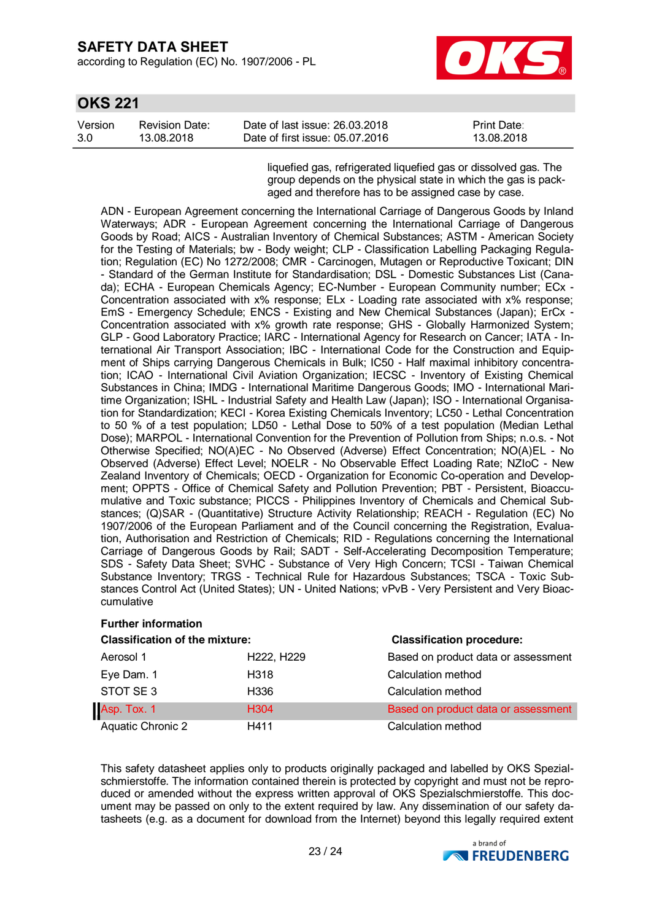**OKS** 221

according to Regulation (EC) No. 1907/2006 - PL



| <b>UKS 221</b> |                       |                                 |                    |  |  |
|----------------|-----------------------|---------------------------------|--------------------|--|--|
| Version        | <b>Revision Date:</b> | Date of last issue: 26.03.2018  | <b>Print Date:</b> |  |  |
| -3.0           | 13.08.2018            | Date of first issue: 05.07.2016 | 13.08.2018         |  |  |

liquefied gas, refrigerated liquefied gas or dissolved gas. The group depends on the physical state in which the gas is packaged and therefore has to be assigned case by case.

ADN - European Agreement concerning the International Carriage of Dangerous Goods by Inland Waterways; ADR - European Agreement concerning the International Carriage of Dangerous Goods by Road; AICS - Australian Inventory of Chemical Substances; ASTM - American Society for the Testing of Materials; bw - Body weight; CLP - Classification Labelling Packaging Regulation; Regulation (EC) No 1272/2008; CMR - Carcinogen, Mutagen or Reproductive Toxicant; DIN - Standard of the German Institute for Standardisation; DSL - Domestic Substances List (Canada); ECHA - European Chemicals Agency; EC-Number - European Community number; ECx - Concentration associated with x% response; ELx - Loading rate associated with x% response; EmS - Emergency Schedule; ENCS - Existing and New Chemical Substances (Japan); ErCx - Concentration associated with x% growth rate response; GHS - Globally Harmonized System; GLP - Good Laboratory Practice; IARC - International Agency for Research on Cancer; IATA - International Air Transport Association; IBC - International Code for the Construction and Equipment of Ships carrying Dangerous Chemicals in Bulk; IC50 - Half maximal inhibitory concentration; ICAO - International Civil Aviation Organization; IECSC - Inventory of Existing Chemical Substances in China; IMDG - International Maritime Dangerous Goods; IMO - International Maritime Organization; ISHL - Industrial Safety and Health Law (Japan); ISO - International Organisation for Standardization; KECI - Korea Existing Chemicals Inventory; LC50 - Lethal Concentration to 50 % of a test population; LD50 - Lethal Dose to 50% of a test population (Median Lethal Dose); MARPOL - International Convention for the Prevention of Pollution from Ships; n.o.s. - Not Otherwise Specified; NO(A)EC - No Observed (Adverse) Effect Concentration; NO(A)EL - No Observed (Adverse) Effect Level; NOELR - No Observable Effect Loading Rate; NZIoC - New Zealand Inventory of Chemicals; OECD - Organization for Economic Co-operation and Development; OPPTS - Office of Chemical Safety and Pollution Prevention; PBT - Persistent, Bioaccumulative and Toxic substance; PICCS - Philippines Inventory of Chemicals and Chemical Substances; (Q)SAR - (Quantitative) Structure Activity Relationship; REACH - Regulation (EC) No 1907/2006 of the European Parliament and of the Council concerning the Registration, Evaluation, Authorisation and Restriction of Chemicals; RID - Regulations concerning the International Carriage of Dangerous Goods by Rail; SADT - Self-Accelerating Decomposition Temperature; SDS - Safety Data Sheet; SVHC - Substance of Very High Concern; TCSI - Taiwan Chemical Substance Inventory; TRGS - Technical Rule for Hazardous Substances; TSCA - Toxic Substances Control Act (United States); UN - United Nations; vPvB - Very Persistent and Very Bioaccumulative

| <b>Further information</b>            |            |                                     |  |  |  |  |  |
|---------------------------------------|------------|-------------------------------------|--|--|--|--|--|
| <b>Classification of the mixture:</b> |            | <b>Classification procedure:</b>    |  |  |  |  |  |
| Aerosol 1                             | H222, H229 | Based on product data or assessment |  |  |  |  |  |
| Eye Dam. 1                            | H318       | Calculation method                  |  |  |  |  |  |
| STOT SE 3                             | H336       | Calculation method                  |  |  |  |  |  |
| Asp. Tox. 1                           | H304       | Based on product data or assessment |  |  |  |  |  |
| <b>Aquatic Chronic 2</b>              | H411       | Calculation method                  |  |  |  |  |  |

This safety datasheet applies only to products originally packaged and labelled by OKS Spezialschmierstoffe. The information contained therein is protected by copyright and must not be reproduced or amended without the express written approval of OKS Spezialschmierstoffe. This document may be passed on only to the extent required by law. Any dissemination of our safety datasheets (e.g. as a document for download from the Internet) beyond this legally required extent